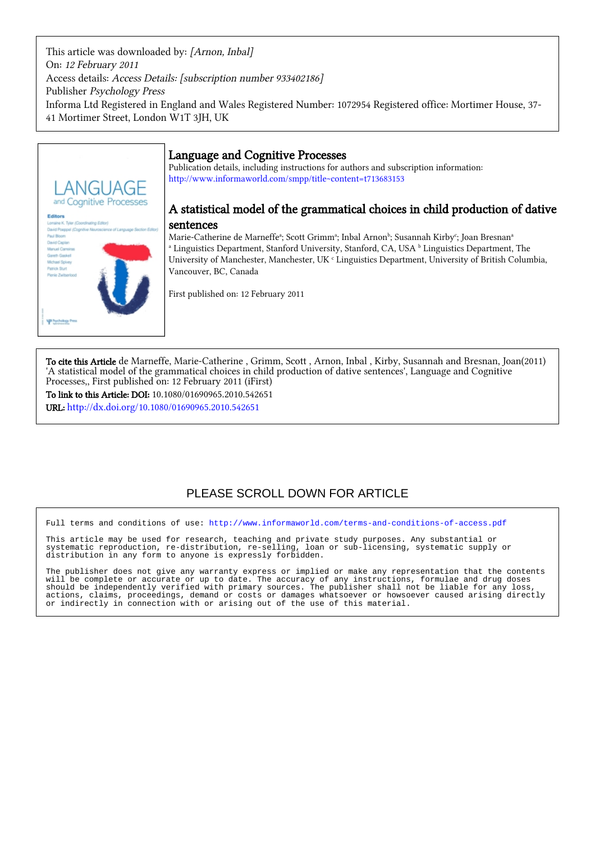This article was downloaded by: [Arnon, Inbal] On: 12 February 2011 Access details: Access Details: [subscription number 933402186] Publisher Psychology Press Informa Ltd Registered in England and Wales Registered Number: 1072954 Registered office: Mortimer House, 37- 41 Mortimer Street, London W1T 3JH, UK



# Language and Cognitive Processes

Publication details, including instructions for authors and subscription information: <http://www.informaworld.com/smpp/title~content=t713683153>

# A statistical model of the grammatical choices in child production of dative sentences

Marie-Catherine de Marneffeª; Scott Grimmª; Inbal Arnonʰ; Susannah Kirby<sup>c</sup>; Joan Bresnanª <sup>a</sup> Linguistics Department, Stanford University, Stanford, CA, USA <sup>b</sup> Linguistics Department, The University of Manchester, Manchester, UK c Linguistics Department, University of British Columbia, Vancouver, BC, Canada

First published on: 12 February 2011

To cite this Article de Marneffe, Marie-Catherine , Grimm, Scott , Arnon, Inbal , Kirby, Susannah and Bresnan, Joan(2011) 'A statistical model of the grammatical choices in child production of dative sentences', Language and Cognitive Processes,, First published on: 12 February 2011 (iFirst)

To link to this Article: DOI: 10.1080/01690965.2010.542651 URL: <http://dx.doi.org/10.1080/01690965.2010.542651>

# PLEASE SCROLL DOWN FOR ARTICLE

Full terms and conditions of use:<http://www.informaworld.com/terms-and-conditions-of-access.pdf>

This article may be used for research, teaching and private study purposes. Any substantial or systematic reproduction, re-distribution, re-selling, loan or sub-licensing, systematic supply or distribution in any form to anyone is expressly forbidden.

The publisher does not give any warranty express or implied or make any representation that the contents will be complete or accurate or up to date. The accuracy of any instructions, formulae and drug doses should be independently verified with primary sources. The publisher shall not be liable for any loss, actions, claims, proceedings, demand or costs or damages whatsoever or howsoever caused arising directly or indirectly in connection with or arising out of the use of this material.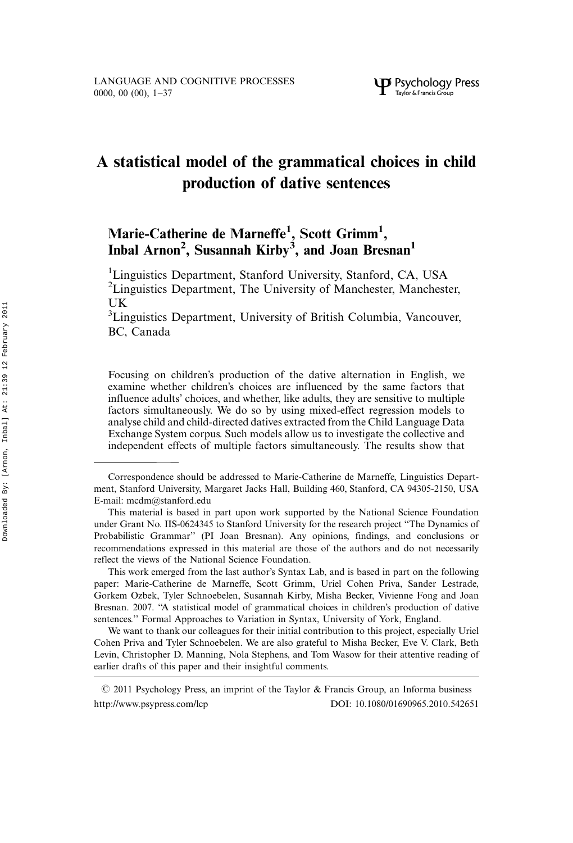# A statistical model of the grammatical choices in child production of dative sentences

# Marie-Catherine de Marneffe<sup>1</sup>, Scott Grimm<sup>1</sup>, Inbal Arnon<sup>2</sup>, Susannah Kirby<sup>3</sup>, and Joan Bresnan<sup>1</sup>

<sup>1</sup>Linguistics Department, Stanford University, Stanford, CA, USA <sup>2</sup>Linguistics Department, The University of Manchester, Manchester, UK

<sup>3</sup>Linguistics Department, University of British Columbia, Vancouver, BC, Canada

Focusing on children's production of the dative alternation in English, we examine whether children's choices are influenced by the same factors that influence adults' choices, and whether, like adults, they are sensitive to multiple factors simultaneously. We do so by using mixed-effect regression models to analyse child and child-directed datives extracted from the Child Language Data Exchange System corpus. Such models allow us to investigate the collective and independent effects of multiple factors simultaneously. The results show that

We want to thank our colleagues for their initial contribution to this project, especially Uriel Cohen Priva and Tyler Schnoebelen. We are also grateful to Misha Becker, Eve V. Clark, Beth Levin, Christopher D. Manning, Nola Stephens, and Tom Wasow for their attentive reading of earlier drafts of this paper and their insightful comments.

Correspondence should be addressed to Marie-Catherine de Marneffe, Linguistics Department, Stanford University, Margaret Jacks Hall, Building 460, Stanford, CA 94305-2150, USA E-mail: mcdm@stanford.edu

This material is based in part upon work supported by the National Science Foundation under Grant No. IIS-0624345 to Stanford University for the research project ''The Dynamics of Probabilistic Grammar'' (PI Joan Bresnan). Any opinions, findings, and conclusions or recommendations expressed in this material are those of the authors and do not necessarily reflect the views of the National Science Foundation.

This work emerged from the last author's Syntax Lab, and is based in part on the following paper: Marie-Catherine de Marneffe, Scott Grimm, Uriel Cohen Priva, Sander Lestrade, Gorkem Ozbek, Tyler Schnoebelen, Susannah Kirby, Misha Becker, Vivienne Fong and Joan Bresnan. 2007. ''A statistical model of grammatical choices in children's production of dative sentences.'' Formal Approaches to Variation in Syntax, University of York, England.

 $\odot$  2011 Psychology Press, an imprint of the Taylor & Francis Group, an Informa business [http://www.psypress.com/lcp](http://www.psypress.com/ecp) DOI: 10.1080/01690965.2010.542651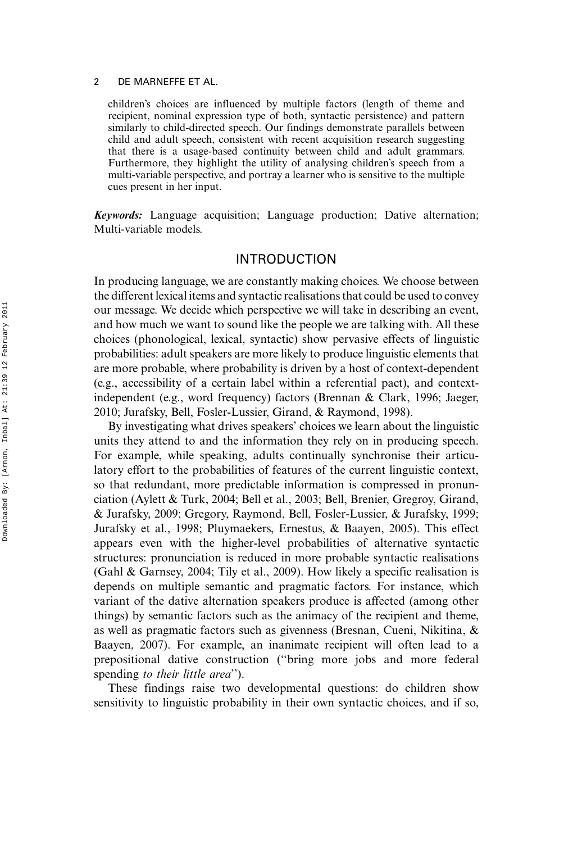children's choices are influenced by multiple factors (length of theme and recipient, nominal expression type of both, syntactic persistence) and pattern similarly to child-directed speech. Our findings demonstrate parallels between child and adult speech, consistent with recent acquisition research suggesting that there is a usage-based continuity between child and adult grammars. Furthermore, they highlight the utility of analysing children's speech from a multi-variable perspective, and portray a learner who is sensitive to the multiple cues present in her input.

Keywords: Language acquisition; Language production; Dative alternation; Multi-variable models.

# INTRODUCTION

In producing language, we are constantly making choices. We choose between the different lexical items and syntactic realisations that could be used to convey our message. We decide which perspective we will take in describing an event, and how much we want to sound like the people we are talking with. All these choices (phonological, lexical, syntactic) show pervasive effects of linguistic probabilities: adult speakers are more likely to produce linguistic elements that are more probable, where probability is driven by a host of context-dependent (e.g., accessibility of a certain label within a referential pact), and contextindependent (e.g., word frequency) factors (Brennan & Clark, 1996; Jaeger, 2010; Jurafsky, Bell, Fosler-Lussier, Girand, & Raymond, 1998).

By investigating what drives speakers' choices we learn about the linguistic units they attend to and the information they rely on in producing speech. For example, while speaking, adults continually synchronise their articulatory effort to the probabilities of features of the current linguistic context, so that redundant, more predictable information is compressed in pronunciation (Aylett & Turk, 2004; Bell et al., 2003; Bell, Brenier, Gregroy, Girand, & Jurafsky, 2009; Gregory, Raymond, Bell, Fosler-Lussier, & Jurafsky, 1999; Jurafsky et al., 1998; Pluymaekers, Ernestus, & Baayen, 2005). This effect appears even with the higher-level probabilities of alternative syntactic structures: pronunciation is reduced in more probable syntactic realisations (Gahl & Garnsey, 2004; Tily et al., 2009). How likely a specific realisation is depends on multiple semantic and pragmatic factors. For instance, which variant of the dative alternation speakers produce is affected (among other things) by semantic factors such as the animacy of the recipient and theme, as well as pragmatic factors such as givenness (Bresnan, Cueni, Nikitina, & Baayen, 2007). For example, an inanimate recipient will often lead to a prepositional dative construction (''bring more jobs and more federal spending to their little area'').

These findings raise two developmental questions: do children show sensitivity to linguistic probability in their own syntactic choices, and if so,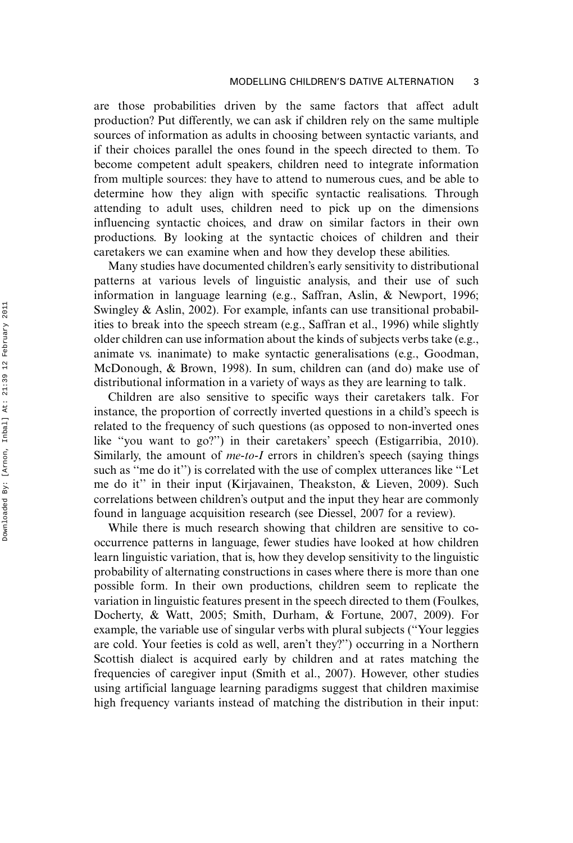are those probabilities driven by the same factors that affect adult production? Put differently, we can ask if children rely on the same multiple sources of information as adults in choosing between syntactic variants, and if their choices parallel the ones found in the speech directed to them. To become competent adult speakers, children need to integrate information from multiple sources: they have to attend to numerous cues, and be able to determine how they align with specific syntactic realisations. Through attending to adult uses, children need to pick up on the dimensions influencing syntactic choices, and draw on similar factors in their own productions. By looking at the syntactic choices of children and their caretakers we can examine when and how they develop these abilities.

Many studies have documented children's early sensitivity to distributional patterns at various levels of linguistic analysis, and their use of such information in language learning (e.g., Saffran, Aslin, & Newport, 1996; Swingley & Aslin, 2002). For example, infants can use transitional probabilities to break into the speech stream (e.g., Saffran et al., 1996) while slightly older children can use information about the kinds of subjects verbs take (e.g., animate vs. inanimate) to make syntactic generalisations (e.g., Goodman, McDonough, & Brown, 1998). In sum, children can (and do) make use of distributional information in a variety of ways as they are learning to talk.

Children are also sensitive to specific ways their caretakers talk. For instance, the proportion of correctly inverted questions in a child's speech is related to the frequency of such questions (as opposed to non-inverted ones like ''you want to go?'') in their caretakers' speech (Estigarribia, 2010). Similarly, the amount of  $me-to-I$  errors in children's speech (saying things such as ''me do it'') is correlated with the use of complex utterances like ''Let me do it'' in their input (Kirjavainen, Theakston, & Lieven, 2009). Such correlations between children's output and the input they hear are commonly found in language acquisition research (see Diessel, 2007 for a review).

While there is much research showing that children are sensitive to cooccurrence patterns in language, fewer studies have looked at how children learn linguistic variation, that is, how they develop sensitivity to the linguistic probability of alternating constructions in cases where there is more than one possible form. In their own productions, children seem to replicate the variation in linguistic features present in the speech directed to them (Foulkes, Docherty, & Watt, 2005; Smith, Durham, & Fortune, 2007, 2009). For example, the variable use of singular verbs with plural subjects (''Your leggies are cold. Your feeties is cold as well, aren't they?'') occurring in a Northern Scottish dialect is acquired early by children and at rates matching the frequencies of caregiver input (Smith et al., 2007). However, other studies using artificial language learning paradigms suggest that children maximise high frequency variants instead of matching the distribution in their input: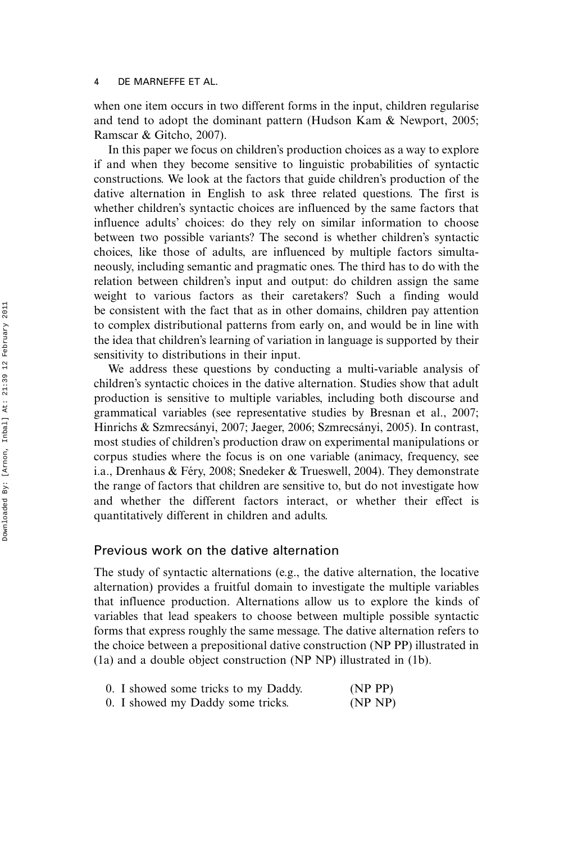when one item occurs in two different forms in the input, children regularise and tend to adopt the dominant pattern (Hudson Kam & Newport, 2005; Ramscar & Gitcho, 2007).

In this paper we focus on children's production choices as a way to explore if and when they become sensitive to linguistic probabilities of syntactic constructions. We look at the factors that guide children's production of the dative alternation in English to ask three related questions. The first is whether children's syntactic choices are influenced by the same factors that influence adults' choices: do they rely on similar information to choose between two possible variants? The second is whether children's syntactic choices, like those of adults, are influenced by multiple factors simultaneously, including semantic and pragmatic ones. The third has to do with the relation between children's input and output: do children assign the same weight to various factors as their caretakers? Such a finding would be consistent with the fact that as in other domains, children pay attention to complex distributional patterns from early on, and would be in line with the idea that children's learning of variation in language is supported by their sensitivity to distributions in their input.

We address these questions by conducting a multi-variable analysis of children's syntactic choices in the dative alternation. Studies show that adult production is sensitive to multiple variables, including both discourse and grammatical variables (see representative studies by Bresnan et al., 2007; Hinrichs & Szmrecsányi, 2007; Jaeger, 2006; Szmrecsányi, 2005). In contrast, most studies of children's production draw on experimental manipulations or corpus studies where the focus is on one variable (animacy, frequency, see i.a., Drenhaus & Féry, 2008; Snedeker & Trueswell, 2004). They demonstrate the range of factors that children are sensitive to, but do not investigate how and whether the different factors interact, or whether their effect is quantitatively different in children and adults.

# Previous work on the dative alternation

The study of syntactic alternations (e.g., the dative alternation, the locative alternation) provides a fruitful domain to investigate the multiple variables that influence production. Alternations allow us to explore the kinds of variables that lead speakers to choose between multiple possible syntactic forms that express roughly the same message. The dative alternation refers to the choice between a prepositional dative construction (NP PP) illustrated in (1a) and a double object construction (NP NP) illustrated in (1b).

| 0. I showed some tricks to my Daddy. | (NP PP) |
|--------------------------------------|---------|
| 0. I showed my Daddy some tricks.    | (NP NP) |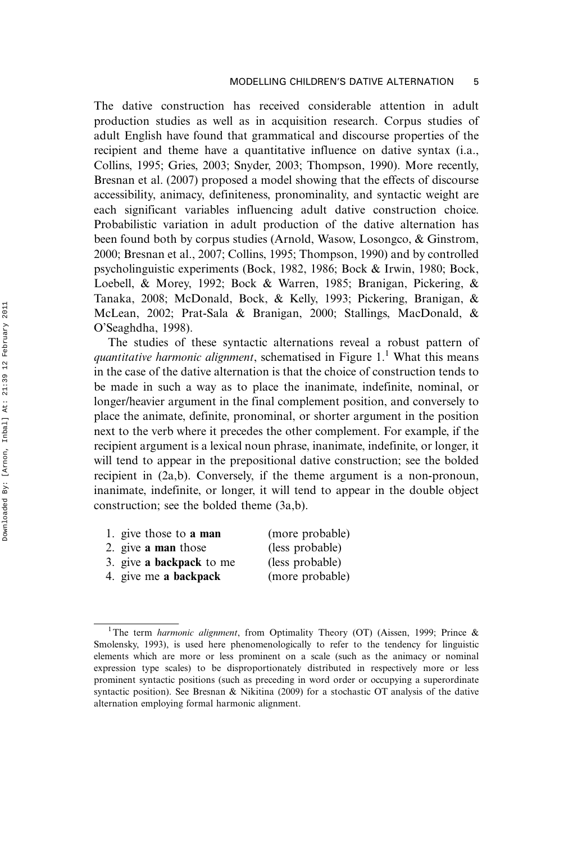The dative construction has received considerable attention in adult production studies as well as in acquisition research. Corpus studies of adult English have found that grammatical and discourse properties of the recipient and theme have a quantitative influence on dative syntax (i.a., Collins, 1995; Gries, 2003; Snyder, 2003; Thompson, 1990). More recently, Bresnan et al. (2007) proposed a model showing that the effects of discourse accessibility, animacy, definiteness, pronominality, and syntactic weight are each significant variables influencing adult dative construction choice. Probabilistic variation in adult production of the dative alternation has been found both by corpus studies (Arnold, Wasow, Losongco, & Ginstrom, 2000; Bresnan et al., 2007; Collins, 1995; Thompson, 1990) and by controlled psycholinguistic experiments (Bock, 1982, 1986; Bock & Irwin, 1980; Bock, Loebell, & Morey, 1992; Bock & Warren, 1985; Branigan, Pickering, & Tanaka, 2008; McDonald, Bock, & Kelly, 1993; Pickering, Branigan, & McLean, 2002; Prat-Sala & Branigan, 2000; Stallings, MacDonald, & O'Seaghdha, 1998).

The studies of these syntactic alternations reveal a robust pattern of quantitative harmonic alignment, schematised in Figure  $1<sup>1</sup>$  What this means in the case of the dative alternation is that the choice of construction tends to be made in such a way as to place the inanimate, indefinite, nominal, or longer/heavier argument in the final complement position, and conversely to place the animate, definite, pronominal, or shorter argument in the position next to the verb where it precedes the other complement. For example, if the recipient argument is a lexical noun phrase, inanimate, indefinite, or longer, it will tend to appear in the prepositional dative construction; see the bolded recipient in (2a,b). Conversely, if the theme argument is a non-pronoun, inanimate, indefinite, or longer, it will tend to appear in the double object construction; see the bolded theme (3a,b).

- 1. give those to **a man** (more probable)
- 2. give a man those (less probable)
- 3. give a backpack to me (less probable)
	-
- 
- 4. give me a backpack (more probable)

<sup>&</sup>lt;sup>1</sup>The term harmonic alignment, from Optimality Theory (OT) (Aissen, 1999; Prince & Smolensky, 1993), is used here phenomenologically to refer to the tendency for linguistic elements which are more or less prominent on a scale (such as the animacy or nominal expression type scales) to be disproportionately distributed in respectively more or less prominent syntactic positions (such as preceding in word order or occupying a superordinate syntactic position). See Bresnan & Nikitina (2009) for a stochastic OT analysis of the dative alternation employing formal harmonic alignment.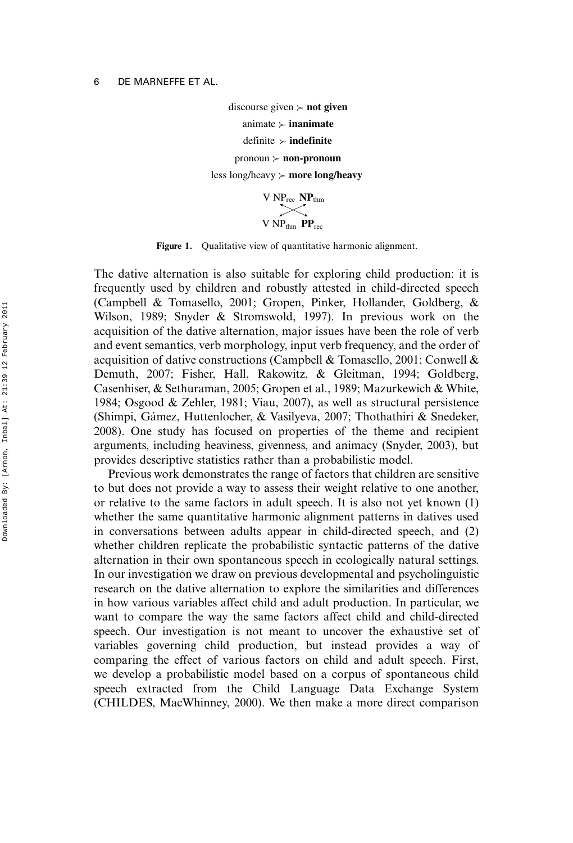discourse given  $\succ$  **not given** animate  $\succ$  **inanimate** definite **indefinite** pronoun **non-pronoun** less long/heavy **more long/heavy**

> V NPrec **NP**thm V NPthm **PP**rec

Figure 1. Qualitative view of quantitative harmonic alignment.

The dative alternation is also suitable for exploring child production: it is frequently used by children and robustly attested in child-directed speech (Campbell & Tomasello, 2001; Gropen, Pinker, Hollander, Goldberg, & Wilson, 1989; Snyder & Stromswold, 1997). In previous work on the acquisition of the dative alternation, major issues have been the role of verb and event semantics, verb morphology, input verb frequency, and the order of acquisition of dative constructions (Campbell & Tomasello, 2001; Conwell & Demuth, 2007; Fisher, Hall, Rakowitz, & Gleitman, 1994; Goldberg, Casenhiser, & Sethuraman, 2005; Gropen et al., 1989; Mazurkewich & White, 1984; Osgood & Zehler, 1981; Viau, 2007), as well as structural persistence (Shimpi, Ga´mez, Huttenlocher, & Vasilyeva, 2007; Thothathiri & Snedeker, 2008). One study has focused on properties of the theme and recipient arguments, including heaviness, givenness, and animacy (Snyder, 2003), but provides descriptive statistics rather than a probabilistic model.

Previous work demonstrates the range of factors that children are sensitive to but does not provide a way to assess their weight relative to one another, or relative to the same factors in adult speech. It is also not yet known (1) whether the same quantitative harmonic alignment patterns in datives used in conversations between adults appear in child-directed speech, and (2) whether children replicate the probabilistic syntactic patterns of the dative alternation in their own spontaneous speech in ecologically natural settings. In our investigation we draw on previous developmental and psycholinguistic research on the dative alternation to explore the similarities and differences in how various variables affect child and adult production. In particular, we want to compare the way the same factors affect child and child-directed speech. Our investigation is not meant to uncover the exhaustive set of variables governing child production, but instead provides a way of comparing the effect of various factors on child and adult speech. First, we develop a probabilistic model based on a corpus of spontaneous child speech extracted from the Child Language Data Exchange System (CHILDES, MacWhinney, 2000). We then make a more direct comparison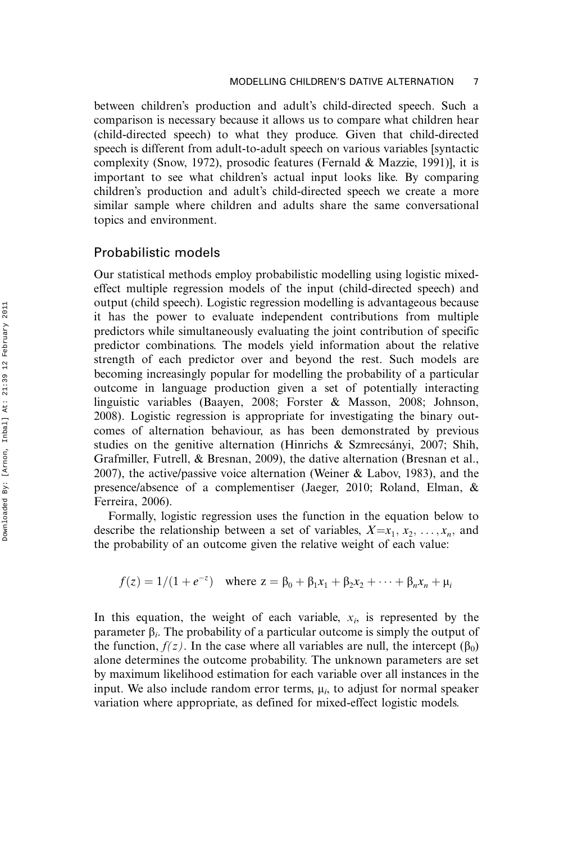between children's production and adult's child-directed speech. Such a comparison is necessary because it allows us to compare what children hear (child-directed speech) to what they produce. Given that child-directed speech is different from adult-to-adult speech on various variables [syntactic complexity (Snow, 1972), prosodic features (Fernald & Mazzie, 1991)], it is important to see what children's actual input looks like. By comparing children's production and adult's child-directed speech we create a more similar sample where children and adults share the same conversational topics and environment.

### Probabilistic models

Our statistical methods employ probabilistic modelling using logistic mixedeffect multiple regression models of the input (child-directed speech) and output (child speech). Logistic regression modelling is advantageous because it has the power to evaluate independent contributions from multiple predictors while simultaneously evaluating the joint contribution of specific predictor combinations. The models yield information about the relative strength of each predictor over and beyond the rest. Such models are becoming increasingly popular for modelling the probability of a particular outcome in language production given a set of potentially interacting linguistic variables (Baayen, 2008; Forster & Masson, 2008; Johnson, 2008). Logistic regression is appropriate for investigating the binary outcomes of alternation behaviour, as has been demonstrated by previous studies on the genitive alternation (Hinrichs  $\&$  Szmrecsányi, 2007; Shih, Grafmiller, Futrell, & Bresnan, 2009), the dative alternation (Bresnan et al., 2007), the active/passive voice alternation (Weiner & Labov, 1983), and the presence/absence of a complementiser (Jaeger, 2010; Roland, Elman, & Ferreira, 2006).

Formally, logistic regression uses the function in the equation below to describe the relationship between a set of variables,  $X=x_1, x_2, \ldots, x_n$ , and the probability of an outcome given the relative weight of each value:

$$
f(z) = 1/(1 + e^{-z})
$$
 where  $z = \beta_0 + \beta_1 x_1 + \beta_2 x_2 + \cdots + \beta_n x_n + \mu_i$ 

In this equation, the weight of each variable,  $x_i$ , is represented by the parameter  $\beta_i$ . The probability of a particular outcome is simply the output of the function,  $f(z)$ . In the case where all variables are null, the intercept  $(\beta_0)$ alone determines the outcome probability. The unknown parameters are set by maximum likelihood estimation for each variable over all instances in the input. We also include random error terms,  $\mu_i$ , to adjust for normal speaker variation where appropriate, as defined for mixed-effect logistic models.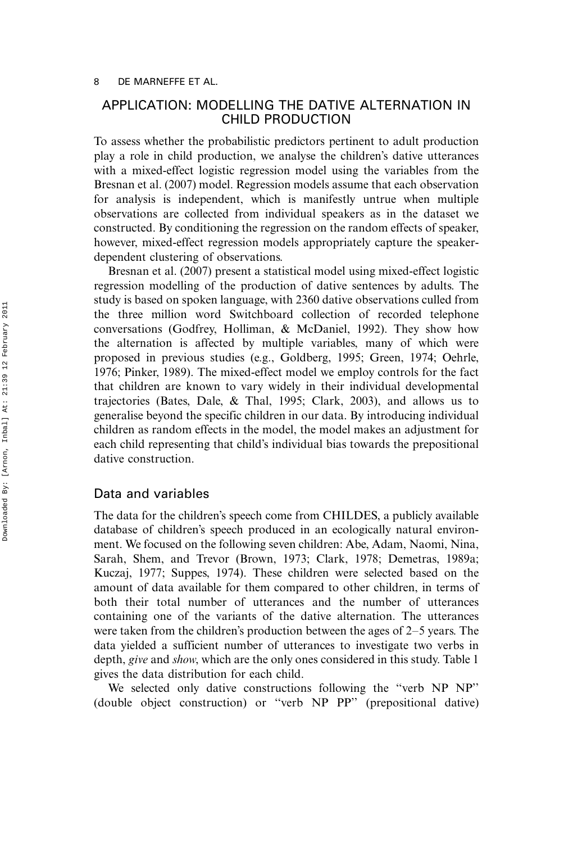# APPLICATION: MODELLING THE DATIVE ALTERNATION IN CHILD PRODUCTION

To assess whether the probabilistic predictors pertinent to adult production play a role in child production, we analyse the children's dative utterances with a mixed-effect logistic regression model using the variables from the Bresnan et al. (2007) model. Regression models assume that each observation for analysis is independent, which is manifestly untrue when multiple observations are collected from individual speakers as in the dataset we constructed. By conditioning the regression on the random effects of speaker, however, mixed-effect regression models appropriately capture the speakerdependent clustering of observations.

Bresnan et al. (2007) present a statistical model using mixed-effect logistic regression modelling of the production of dative sentences by adults. The study is based on spoken language, with 2360 dative observations culled from the three million word Switchboard collection of recorded telephone conversations (Godfrey, Holliman, & McDaniel, 1992). They show how the alternation is affected by multiple variables, many of which were proposed in previous studies (e.g., Goldberg, 1995; Green, 1974; Oehrle, 1976; Pinker, 1989). The mixed-effect model we employ controls for the fact that children are known to vary widely in their individual developmental trajectories (Bates, Dale, & Thal, 1995; Clark, 2003), and allows us to generalise beyond the specific children in our data. By introducing individual children as random effects in the model, the model makes an adjustment for each child representing that child's individual bias towards the prepositional dative construction.

# Data and variables

The data for the children's speech come from CHILDES, a publicly available database of children's speech produced in an ecologically natural environment. We focused on the following seven children: Abe, Adam, Naomi, Nina, Sarah, Shem, and Trevor (Brown, 1973; Clark, 1978; Demetras, 1989a; Kuczaj, 1977; Suppes, 1974). These children were selected based on the amount of data available for them compared to other children, in terms of both their total number of utterances and the number of utterances containing one of the variants of the dative alternation. The utterances were taken from the children's production between the ages of  $2-5$  years. The data yielded a sufficient number of utterances to investigate two verbs in depth, *give* and *show*, which are the only ones considered in this study. Table 1 gives the data distribution for each child.

We selected only dative constructions following the ''verb NP NP'' (double object construction) or ''verb NP PP'' (prepositional dative)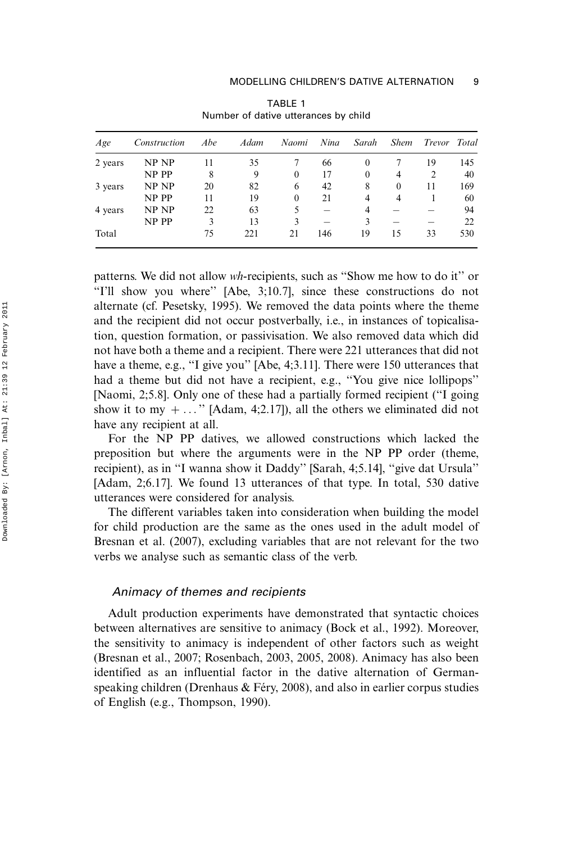| Age     | Construction | Abe | Adam | Naomi        | Nina | Sarah            | <b>Shem</b> | Trevor Total |     |
|---------|--------------|-----|------|--------------|------|------------------|-------------|--------------|-----|
| 2 years | NP NP        | 11  | 35   |              | 66   | $\theta$         |             | 19           | 145 |
|         | NP PP        | 8   | 9    | $\mathbf{0}$ | 17   | $\boldsymbol{0}$ | 4           | 2            | 40  |
| 3 years | NP NP        | 20  | 82   | 6            | 42   | 8                | $\theta$    | 11           | 169 |
|         | NP PP        | 11  | 19   | $\Omega$     | 21   | 4                | 4           |              | 60  |
| 4 years | NP NP        | 22  | 63   | 5            |      | 4                |             |              | 94  |
|         | NP PP        | 3   | 13   | 3            |      | 3                |             |              | 22  |
| Total   |              | 75  | 221  | 21           | 146  | 19               | 15          | 33           | 530 |

TABLE 1 Number of dative utterances by child

patterns. We did not allow wh-recipients, such as ''Show me how to do it'' or "I'll show you where" [Abe, 3;10.7], since these constructions do not alternate (cf. Pesetsky, 1995). We removed the data points where the theme and the recipient did not occur postverbally, i.e., in instances of topicalisation, question formation, or passivisation. We also removed data which did not have both a theme and a recipient. There were 221 utterances that did not have a theme, e.g., "I give you" [Abe, 4;3.11]. There were 150 utterances that had a theme but did not have a recipient, e.g., ''You give nice lollipops'' [Naomi, 2;5.8]. Only one of these had a partially formed recipient (''I going show it to my  $+ \ldots$ " [Adam, 4;2.17]), all the others we eliminated did not have any recipient at all.

For the NP PP datives, we allowed constructions which lacked the preposition but where the arguments were in the NP PP order (theme, recipient), as in ''I wanna show it Daddy'' [Sarah, 4;5.14], ''give dat Ursula'' [Adam, 2;6.17]. We found 13 utterances of that type. In total, 530 dative utterances were considered for analysis.

The different variables taken into consideration when building the model for child production are the same as the ones used in the adult model of Bresnan et al. (2007), excluding variables that are not relevant for the two verbs we analyse such as semantic class of the verb.

#### Animacy of themes and recipients

Adult production experiments have demonstrated that syntactic choices between alternatives are sensitive to animacy (Bock et al., 1992). Moreover, the sensitivity to animacy is independent of other factors such as weight (Bresnan et al., 2007; Rosenbach, 2003, 2005, 2008). Animacy has also been identified as an influential factor in the dative alternation of Germanspeaking children (Drenhaus  $\&$  Féry, 2008), and also in earlier corpus studies of English (e.g., Thompson, 1990).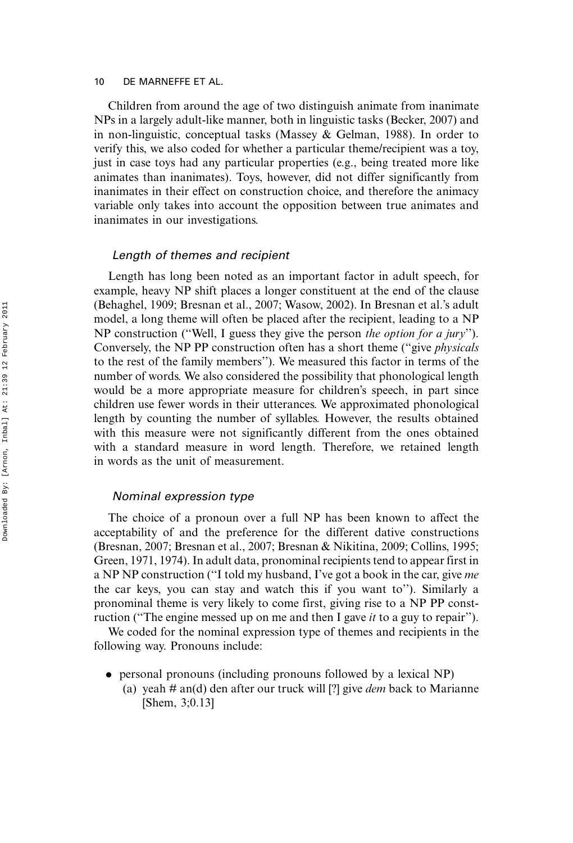Children from around the age of two distinguish animate from inanimate NPs in a largely adult-like manner, both in linguistic tasks (Becker, 2007) and in non-linguistic, conceptual tasks (Massey & Gelman, 1988). In order to verify this, we also coded for whether a particular theme/recipient was a toy, just in case toys had any particular properties (e.g., being treated more like animates than inanimates). Toys, however, did not differ significantly from inanimates in their effect on construction choice, and therefore the animacy variable only takes into account the opposition between true animates and inanimates in our investigations.

#### Length of themes and recipient

Length has long been noted as an important factor in adult speech, for example, heavy NP shift places a longer constituent at the end of the clause (Behaghel, 1909; Bresnan et al., 2007; Wasow, 2002). In Bresnan et al.'s adult model, a long theme will often be placed after the recipient, leading to a NP NP construction (''Well, I guess they give the person the option for a jury''). Conversely, the NP PP construction often has a short theme (''give physicals to the rest of the family members''). We measured this factor in terms of the number of words. We also considered the possibility that phonological length would be a more appropriate measure for children's speech, in part since children use fewer words in their utterances. We approximated phonological length by counting the number of syllables. However, the results obtained with this measure were not significantly different from the ones obtained with a standard measure in word length. Therefore, we retained length in words as the unit of measurement.

#### Nominal expression type

The choice of a pronoun over a full NP has been known to affect the acceptability of and the preference for the different dative constructions (Bresnan, 2007; Bresnan et al., 2007; Bresnan & Nikitina, 2009; Collins, 1995; Green, 1971, 1974). In adult data, pronominal recipients tend to appear first in a NP NP construction (''I told my husband, I've got a book in the car, give me the car keys, you can stay and watch this if you want to''). Similarly a pronominal theme is very likely to come first, giving rise to a NP PP construction ("The engine messed up on me and then I gave *it* to a guy to repair").

We coded for the nominal expression type of themes and recipients in the following way. Pronouns include:

- . personal pronouns (including pronouns followed by a lexical NP)
	- (a) yeah  $#$  an(d) den after our truck will [?] give *dem* back to Marianne [Shem, 3;0.13]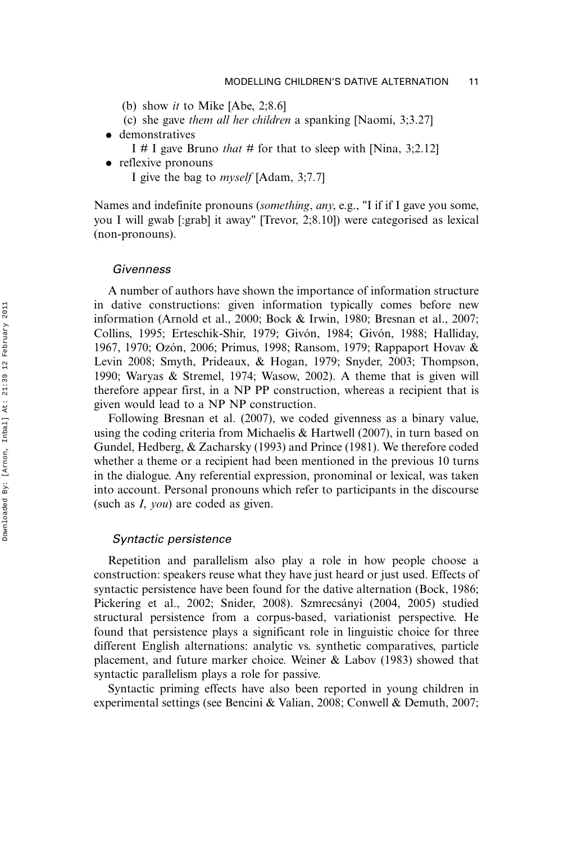- (b) show it to Mike [Abe, 2;8.6]
- (c) she gave them all her children a spanking [Naomi, 3;3.27]
- demonstratives
	- I # I gave Bruno *that* # for that to sleep with [Nina, 3;2.12]
- reflexive pronouns
	- I give the bag to myself [Adam, 3;7.7]

Names and indefinite pronouns (something, any, e.g., "I if if I gave you some, you I will gwab [:grab] it away" [Trevor, 2;8.10]) were categorised as lexical (non-pronouns).

#### Givenness

A number of authors have shown the importance of information structure in dative constructions: given information typically comes before new information (Arnold et al., 2000; Bock & Irwin, 1980; Bresnan et al., 2007; Collins, 1995; Erteschik-Shir, 1979; Givón, 1984; Givón, 1988; Halliday, 1967, 1970; Ozón, 2006; Primus, 1998; Ransom, 1979; Rappaport Hovav & Levin 2008; Smyth, Prideaux, & Hogan, 1979; Snyder, 2003; Thompson, 1990; Waryas & Stremel, 1974; Wasow, 2002). A theme that is given will therefore appear first, in a NP PP construction, whereas a recipient that is given would lead to a NP NP construction.

Following Bresnan et al. (2007), we coded givenness as a binary value, using the coding criteria from Michaelis & Hartwell (2007), in turn based on Gundel, Hedberg, & Zacharsky (1993) and Prince (1981). We therefore coded whether a theme or a recipient had been mentioned in the previous 10 turns in the dialogue. Any referential expression, pronominal or lexical, was taken into account. Personal pronouns which refer to participants in the discourse (such as I, you) are coded as given.

#### Syntactic persistence

Repetition and parallelism also play a role in how people choose a construction: speakers reuse what they have just heard or just used. Effects of syntactic persistence have been found for the dative alternation (Bock, 1986; Pickering et al., 2002; Snider, 2008). Szmrecsányi (2004, 2005) studied structural persistence from a corpus-based, variationist perspective. He found that persistence plays a significant role in linguistic choice for three different English alternations: analytic vs. synthetic comparatives, particle placement, and future marker choice. Weiner & Labov (1983) showed that syntactic parallelism plays a role for passive.

Syntactic priming effects have also been reported in young children in experimental settings (see Bencini & Valian, 2008; Conwell & Demuth, 2007;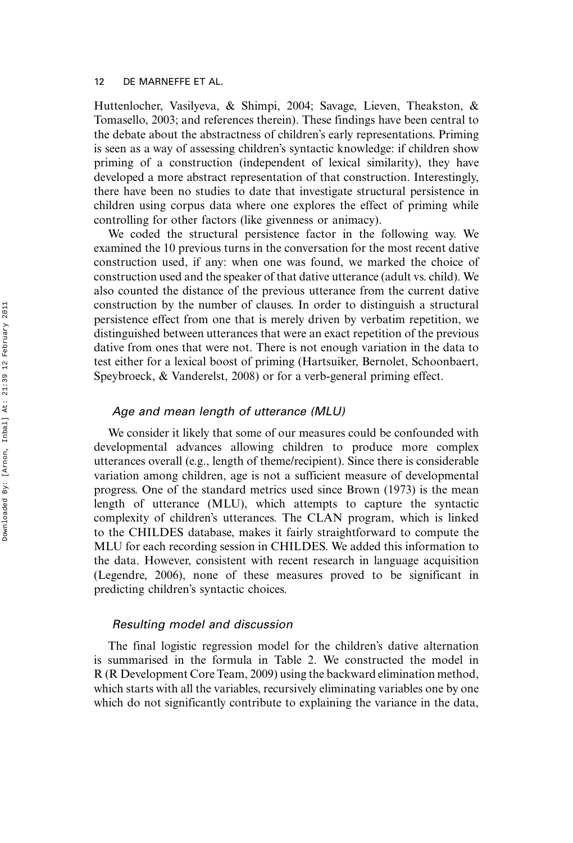Huttenlocher, Vasilyeva, & Shimpi, 2004; Savage, Lieven, Theakston, & Tomasello, 2003; and references therein). These findings have been central to the debate about the abstractness of children's early representations. Priming is seen as a way of assessing children's syntactic knowledge: if children show priming of a construction (independent of lexical similarity), they have developed a more abstract representation of that construction. Interestingly, there have been no studies to date that investigate structural persistence in children using corpus data where one explores the effect of priming while controlling for other factors (like givenness or animacy).

We coded the structural persistence factor in the following way. We examined the 10 previous turns in the conversation for the most recent dative construction used, if any: when one was found, we marked the choice of construction used and the speaker of that dative utterance (adult vs. child). We also counted the distance of the previous utterance from the current dative construction by the number of clauses. In order to distinguish a structural persistence effect from one that is merely driven by verbatim repetition, we distinguished between utterances that were an exact repetition of the previous dative from ones that were not. There is not enough variation in the data to test either for a lexical boost of priming (Hartsuiker, Bernolet, Schoonbaert, Speybroeck, & Vanderelst, 2008) or for a verb-general priming effect.

#### Age and mean length of utterance (MLU)

We consider it likely that some of our measures could be confounded with developmental advances allowing children to produce more complex utterances overall (e.g., length of theme/recipient). Since there is considerable variation among children, age is not a sufficient measure of developmental progress. One of the standard metrics used since Brown (1973) is the mean length of utterance (MLU), which attempts to capture the syntactic complexity of children's utterances. The CLAN program, which is linked to the CHILDES database, makes it fairly straightforward to compute the MLU for each recording session in CHILDES. We added this information to the data. However, consistent with recent research in language acquisition (Legendre, 2006), none of these measures proved to be significant in predicting children's syntactic choices.

#### Resulting model and discussion

The final logistic regression model for the children's dative alternation is summarised in the formula in Table 2. We constructed the model in R (R Development Core Team, 2009) using the backward elimination method, which starts with all the variables, recursively eliminating variables one by one which do not significantly contribute to explaining the variance in the data,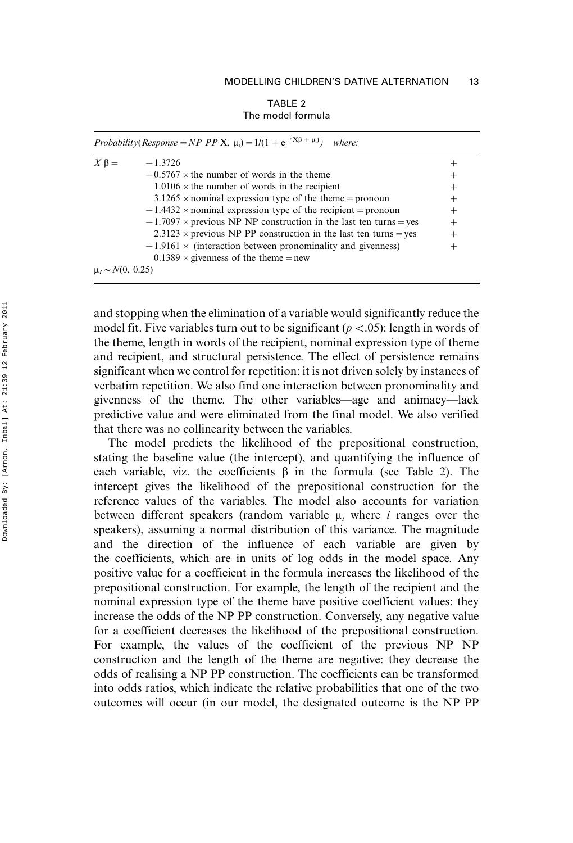| TABLE 2           |  |  |  |  |
|-------------------|--|--|--|--|
| The model formula |  |  |  |  |

|                         | Probability(Response = NP PP X, $\mu_i$ ) = 1/(1 + e <sup>-(Xβ + <math>\mu_i</math>)</sup> )<br>where: |        |  |  |  |
|-------------------------|--------------------------------------------------------------------------------------------------------|--------|--|--|--|
| $X \beta =$             | $-1.3726$                                                                                              |        |  |  |  |
|                         | $-0.5767 \times$ the number of words in the theme                                                      |        |  |  |  |
|                         | $1.0106 \times$ the number of words in the recipient                                                   | $^{+}$ |  |  |  |
|                         | $3.1265 \times$ nominal expression type of the theme = pronoun                                         | $^{+}$ |  |  |  |
|                         | $-1.4432 \times$ nominal expression type of the recipient = pronoun                                    | $^{+}$ |  |  |  |
|                         | $-1.7097 \times$ previous NP NP construction in the last ten turns = yes                               | $^+$   |  |  |  |
|                         | $2.3123 \times$ previous NP PP construction in the last ten turns = yes                                | $^+$   |  |  |  |
|                         | $-1.9161 \times$ (interaction between pronominality and givenness)                                     | $^+$   |  |  |  |
|                         | $0.1389 \times$ givenness of the theme = new                                                           |        |  |  |  |
| $\mu_I \sim N(0, 0.25)$ |                                                                                                        |        |  |  |  |

and stopping when the elimination of a variable would significantly reduce the model fit. Five variables turn out to be significant ( $p < 0.05$ ): length in words of the theme, length in words of the recipient, nominal expression type of theme and recipient, and structural persistence. The effect of persistence remains significant when we control for repetition: it is not driven solely by instances of verbatim repetition. We also find one interaction between pronominality and givenness of the theme. The other variables—age and animacy—lack predictive value and were eliminated from the final model. We also verified that there was no collinearity between the variables.

The model predicts the likelihood of the prepositional construction, stating the baseline value (the intercept), and quantifying the influence of each variable, viz. the coefficients  $\beta$  in the formula (see Table 2). The intercept gives the likelihood of the prepositional construction for the reference values of the variables. The model also accounts for variation between different speakers (random variable  $\mu_i$  where i ranges over the speakers), assuming a normal distribution of this variance. The magnitude and the direction of the influence of each variable are given by the coefficients, which are in units of log odds in the model space. Any positive value for a coefficient in the formula increases the likelihood of the prepositional construction. For example, the length of the recipient and the nominal expression type of the theme have positive coefficient values: they increase the odds of the NP PP construction. Conversely, any negative value for a coefficient decreases the likelihood of the prepositional construction. For example, the values of the coefficient of the previous NP NP construction and the length of the theme are negative: they decrease the odds of realising a NP PP construction. The coefficients can be transformed into odds ratios, which indicate the relative probabilities that one of the two outcomes will occur (in our model, the designated outcome is the NP PP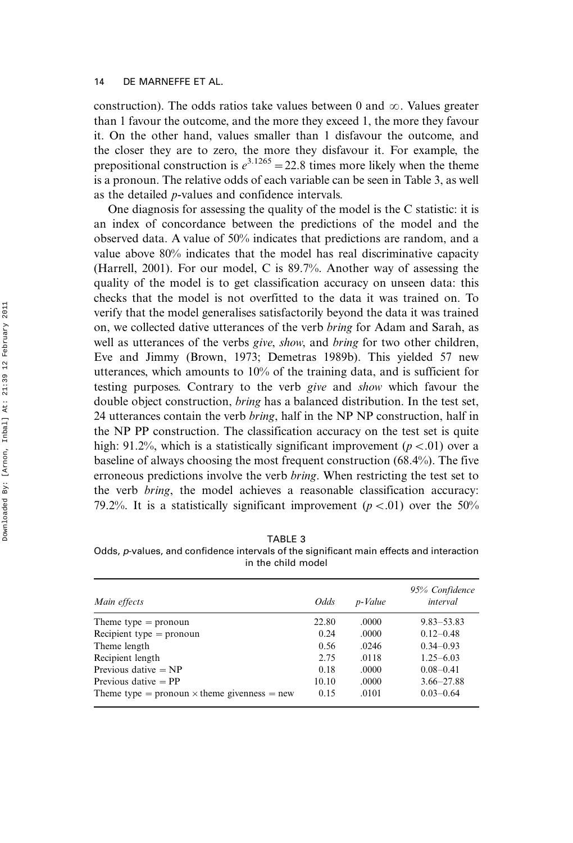construction). The odds ratios take values between 0 and  $\infty$ . Values greater than 1 favour the outcome, and the more they exceed 1, the more they favour it. On the other hand, values smaller than 1 disfavour the outcome, and the closer they are to zero, the more they disfavour it. For example, the prepositional construction is  $e^{3.1265}$  = 22.8 times more likely when the theme is a pronoun. The relative odds of each variable can be seen in Table 3, as well as the detailed p-values and confidence intervals.

One diagnosis for assessing the quality of the model is the C statistic: it is an index of concordance between the predictions of the model and the observed data. A value of 50% indicates that predictions are random, and a value above 80% indicates that the model has real discriminative capacity (Harrell, 2001). For our model, C is 89.7%. Another way of assessing the quality of the model is to get classification accuracy on unseen data: this checks that the model is not overfitted to the data it was trained on. To verify that the model generalises satisfactorily beyond the data it was trained on, we collected dative utterances of the verb bring for Adam and Sarah, as well as utterances of the verbs *give, show*, and *bring* for two other children, Eve and Jimmy (Brown, 1973; Demetras 1989b). This yielded 57 new utterances, which amounts to 10% of the training data, and is sufficient for testing purposes. Contrary to the verb give and show which favour the double object construction, bring has a balanced distribution. In the test set, 24 utterances contain the verb bring, half in the NP NP construction, half in the NP PP construction. The classification accuracy on the test set is quite high: 91.2%, which is a statistically significant improvement ( $p < 0$ 1) over a baseline of always choosing the most frequent construction (68.4%). The five erroneous predictions involve the verb bring. When restricting the test set to the verb bring, the model achieves a reasonable classification accuracy: 79.2%. It is a statistically significant improvement ( $p < 0.01$ ) over the 50%

| ×. |         |
|----|---------|
|    | ×<br>۰. |

Odds, p-values, and confidence intervals of the significant main effects and interaction in the child model

| Main effects                                        | Odds  | p-Value | 95% Confidence<br>interval |
|-----------------------------------------------------|-------|---------|----------------------------|
| Theme type $=$ pronoun                              | 22.80 | .0000   | $9.83 - 53.83$             |
| Recipient type $=$ pronoun                          | 0.24  | .0000   | $0.12 - 0.48$              |
| Theme length                                        | 0.56  | .0246   | $0.34 - 0.93$              |
| Recipient length                                    | 2.75  | .0118   | $1.25 - 6.03$              |
| Previous dative $= NP$                              | 0.18  | .0000   | $0.08 - 0.41$              |
| Previous dative $=$ PP                              | 10.10 | .0000   | $3.66 - 27.88$             |
| Theme type = pronoun $\times$ theme givenness = new | 0.15  | .0101   | $0.03 - 0.64$              |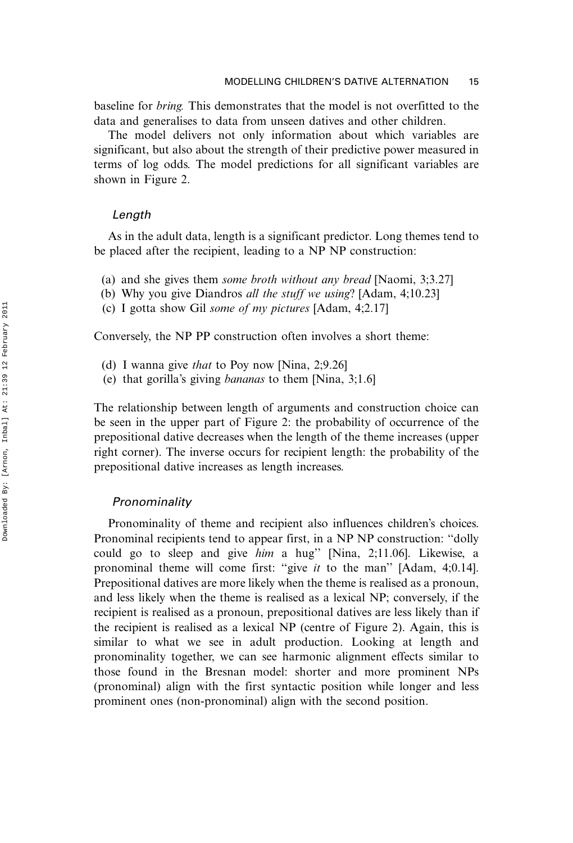baseline for bring. This demonstrates that the model is not overfitted to the data and generalises to data from unseen datives and other children.

The model delivers not only information about which variables are significant, but also about the strength of their predictive power measured in terms of log odds. The model predictions for all significant variables are shown in Figure 2.

#### Length

As in the adult data, length is a significant predictor. Long themes tend to be placed after the recipient, leading to a NP NP construction:

- (a) and she gives them some broth without any bread [Naomi, 3;3.27]
- (b) Why you give Diandros all the stuff we using? [Adam, 4;10.23]
- (c) I gotta show Gil some of my pictures [Adam, 4;2.17]

Conversely, the NP PP construction often involves a short theme:

- (d) I wanna give that to Poy now [Nina, 2;9.26]
- (e) that gorilla's giving bananas to them [Nina, 3;1.6]

The relationship between length of arguments and construction choice can be seen in the upper part of Figure 2: the probability of occurrence of the prepositional dative decreases when the length of the theme increases (upper right corner). The inverse occurs for recipient length: the probability of the prepositional dative increases as length increases.

#### Pronominality

Pronominality of theme and recipient also influences children's choices. Pronominal recipients tend to appear first, in a NP NP construction: ''dolly could go to sleep and give him a hug'' [Nina, 2;11.06]. Likewise, a pronominal theme will come first: "give it to the man" [Adam, 4;0.14]. Prepositional datives are more likely when the theme is realised as a pronoun, and less likely when the theme is realised as a lexical NP; conversely, if the recipient is realised as a pronoun, prepositional datives are less likely than if the recipient is realised as a lexical NP (centre of Figure 2). Again, this is similar to what we see in adult production. Looking at length and pronominality together, we can see harmonic alignment effects similar to those found in the Bresnan model: shorter and more prominent NPs (pronominal) align with the first syntactic position while longer and less prominent ones (non-pronominal) align with the second position.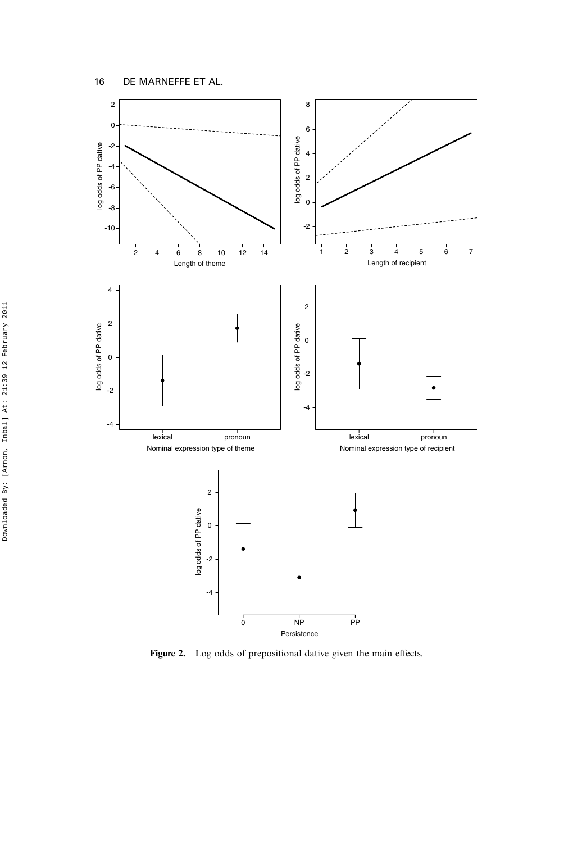

Figure 2. Log odds of prepositional dative given the main effects.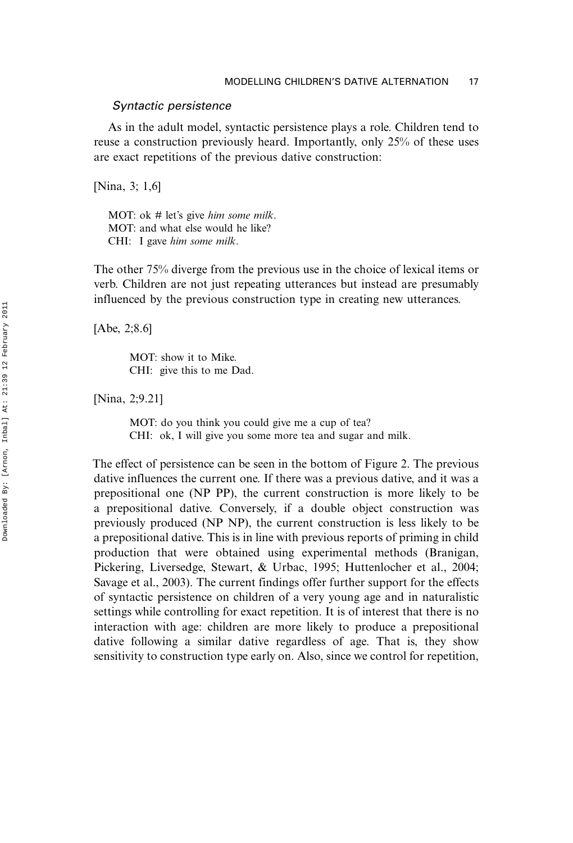#### Syntactic persistence

As in the adult model, syntactic persistence plays a role. Children tend to reuse a construction previously heard. Importantly, only 25% of these uses are exact repetitions of the previous dative construction:

[Nina, 3; 1,6]

MOT: ok # let's give him some milk. MOT: and what else would he like? CHI: I gave him some milk.

The other 75% diverge from the previous use in the choice of lexical items or verb. Children are not just repeating utterances but instead are presumably influenced by the previous construction type in creating new utterances.

[Abe, 2;8.6]

MOT: show it to Mike. CHI: give this to me Dad.

[Nina, 2;9.21]

MOT: do you think you could give me a cup of tea? CHI: ok, I will give you some more tea and sugar and milk.

The effect of persistence can be seen in the bottom of Figure 2. The previous dative influences the current one. If there was a previous dative, and it was a prepositional one (NP PP), the current construction is more likely to be a prepositional dative. Conversely, if a double object construction was previously produced (NP NP), the current construction is less likely to be a prepositional dative. This is in line with previous reports of priming in child production that were obtained using experimental methods (Branigan, Pickering, Liversedge, Stewart, & Urbac, 1995; Huttenlocher et al., 2004; Savage et al., 2003). The current findings offer further support for the effects of syntactic persistence on children of a very young age and in naturalistic settings while controlling for exact repetition. It is of interest that there is no interaction with age: children are more likely to produce a prepositional dative following a similar dative regardless of age. That is, they show sensitivity to construction type early on. Also, since we control for repetition,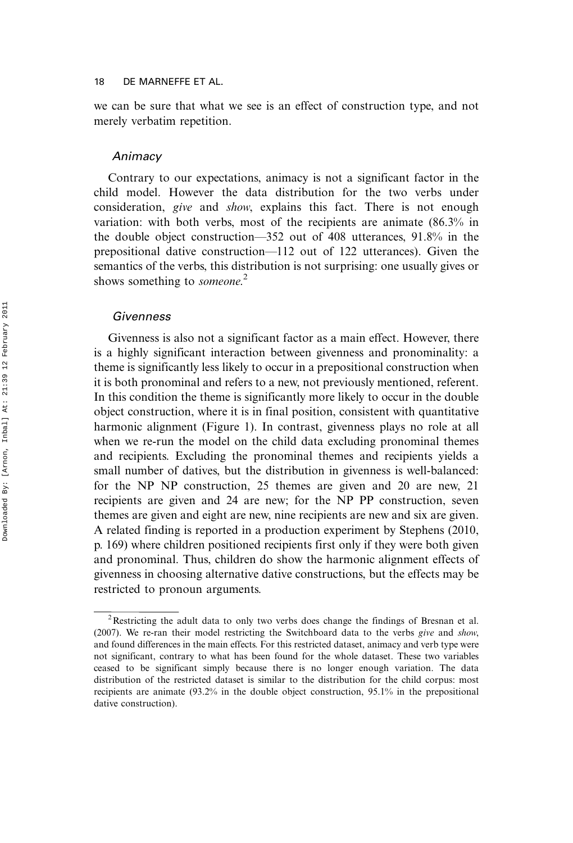we can be sure that what we see is an effect of construction type, and not merely verbatim repetition.

#### Animacy

Contrary to our expectations, animacy is not a significant factor in the child model. However the data distribution for the two verbs under consideration, give and show, explains this fact. There is not enough variation: with both verbs, most of the recipients are animate (86.3% in the double object construction—352 out of 408 utterances,  $91.8\%$  in the prepositional dative construction—112 out of 122 utterances). Given the semantics of the verbs, this distribution is not surprising: one usually gives or shows something to someone.<sup>2</sup>

#### Givenness

Givenness is also not a significant factor as a main effect. However, there is a highly significant interaction between givenness and pronominality: a theme is significantly less likely to occur in a prepositional construction when it is both pronominal and refers to a new, not previously mentioned, referent. In this condition the theme is significantly more likely to occur in the double object construction, where it is in final position, consistent with quantitative harmonic alignment (Figure 1). In contrast, givenness plays no role at all when we re-run the model on the child data excluding pronominal themes and recipients. Excluding the pronominal themes and recipients yields a small number of datives, but the distribution in givenness is well-balanced: for the NP NP construction, 25 themes are given and 20 are new, 21 recipients are given and 24 are new; for the NP PP construction, seven themes are given and eight are new, nine recipients are new and six are given. A related finding is reported in a production experiment by Stephens (2010, p. 169) where children positioned recipients first only if they were both given and pronominal. Thus, children do show the harmonic alignment effects of givenness in choosing alternative dative constructions, but the effects may be restricted to pronoun arguments.

<sup>&</sup>lt;sup>2</sup>Restricting the adult data to only two verbs does change the findings of Bresnan et al. (2007). We re-ran their model restricting the Switchboard data to the verbs give and show, and found differences in the main effects. For this restricted dataset, animacy and verb type were not significant, contrary to what has been found for the whole dataset. These two variables ceased to be significant simply because there is no longer enough variation. The data distribution of the restricted dataset is similar to the distribution for the child corpus: most recipients are animate (93.2% in the double object construction, 95.1% in the prepositional dative construction).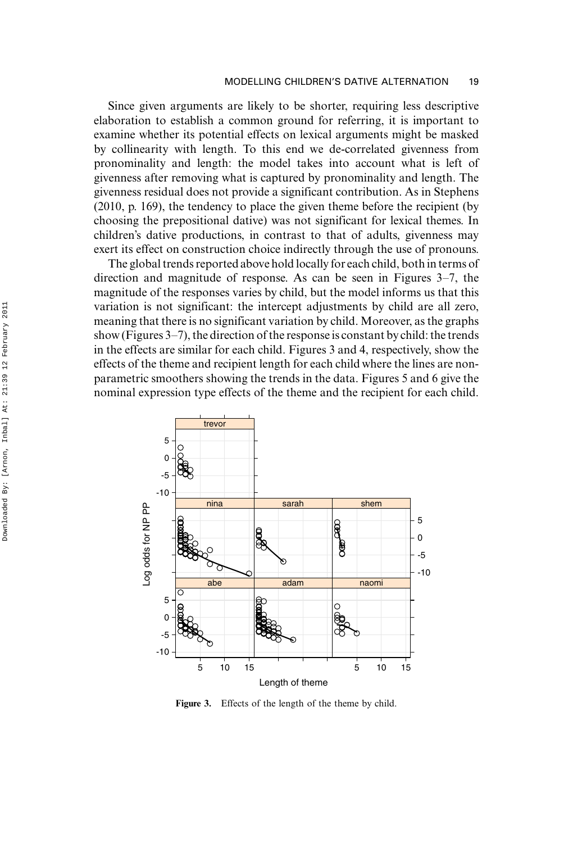Since given arguments are likely to be shorter, requiring less descriptive elaboration to establish a common ground for referring, it is important to examine whether its potential effects on lexical arguments might be masked by collinearity with length. To this end we de-correlated givenness from pronominality and length: the model takes into account what is left of givenness after removing what is captured by pronominality and length. The givenness residual does not provide a significant contribution. As in Stephens (2010, p. 169), the tendency to place the given theme before the recipient (by choosing the prepositional dative) was not significant for lexical themes. In children's dative productions, in contrast to that of adults, givenness may exert its effect on construction choice indirectly through the use of pronouns.

The global trends reported above hold locally for each child, both in terms of direction and magnitude of response. As can be seen in Figures  $3-7$ , the magnitude of the responses varies by child, but the model informs us that this variation is not significant: the intercept adjustments by child are all zero, meaning that there is no significant variation by child. Moreover, as the graphs show (Figures  $3-7$ ), the direction of the response is constant by child: the trends in the effects are similar for each child. Figures 3 and 4, respectively, show the effects of the theme and recipient length for each child where the lines are nonparametric smoothers showing the trends in the data. Figures 5 and 6 give the nominal expression type effects of the theme and the recipient for each child.



Figure 3. Effects of the length of the theme by child.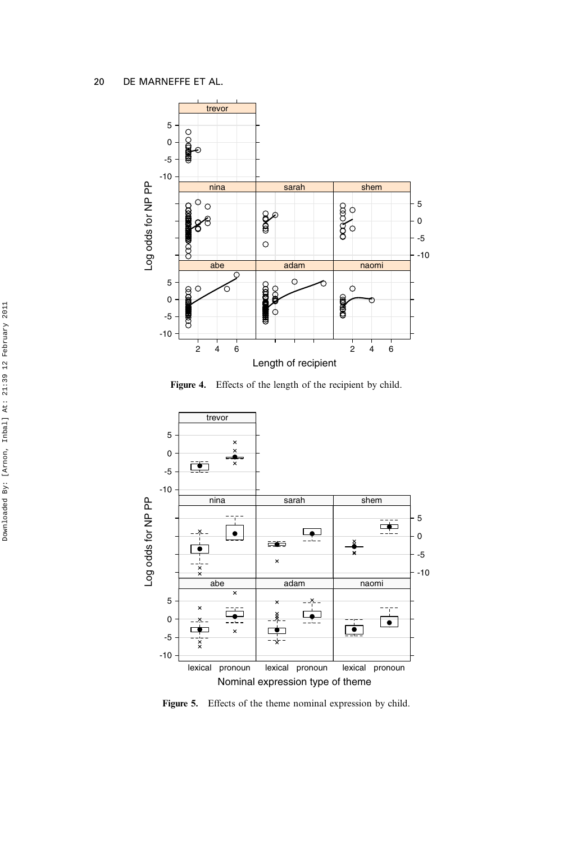

Figure 4. Effects of the length of the recipient by child.



Figure 5. Effects of the theme nominal expression by child.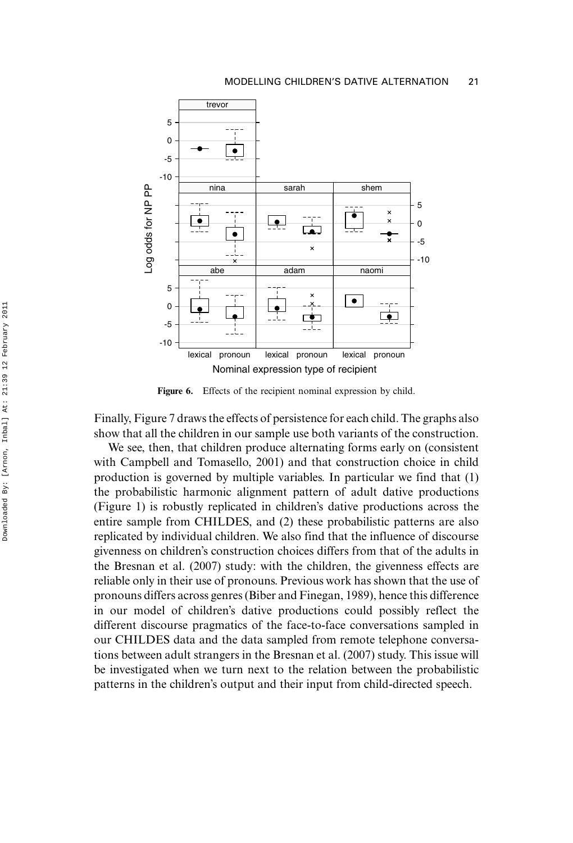

Figure 6. Effects of the recipient nominal expression by child.

Finally, Figure 7 draws the effects of persistence for each child. The graphs also show that all the children in our sample use both variants of the construction.

We see, then, that children produce alternating forms early on (consistent with Campbell and Tomasello, 2001) and that construction choice in child production is governed by multiple variables. In particular we find that (1) the probabilistic harmonic alignment pattern of adult dative productions (Figure 1) is robustly replicated in children's dative productions across the entire sample from CHILDES, and (2) these probabilistic patterns are also replicated by individual children. We also find that the influence of discourse givenness on children's construction choices differs from that of the adults in the Bresnan et al. (2007) study: with the children, the givenness effects are reliable only in their use of pronouns. Previous work has shown that the use of pronouns differs across genres (Biber and Finegan, 1989), hence this difference in our model of children's dative productions could possibly reflect the different discourse pragmatics of the face-to-face conversations sampled in our CHILDES data and the data sampled from remote telephone conversations between adult strangers in the Bresnan et al. (2007) study. This issue will be investigated when we turn next to the relation between the probabilistic patterns in the children's output and their input from child-directed speech.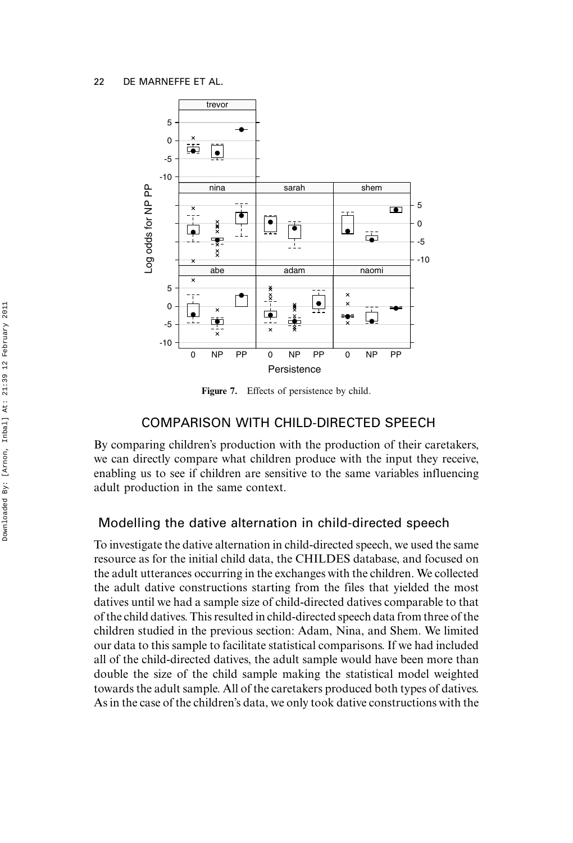

Figure 7. Effects of persistence by child.

## COMPARISON WITH CHILD-DIRECTED SPEECH

By comparing children's production with the production of their caretakers, we can directly compare what children produce with the input they receive, enabling us to see if children are sensitive to the same variables influencing adult production in the same context.

# Modelling the dative alternation in child-directed speech

To investigate the dative alternation in child-directed speech, we used the same resource as for the initial child data, the CHILDES database, and focused on the adult utterances occurring in the exchanges with the children. We collected the adult dative constructions starting from the files that yielded the most datives until we had a sample size of child-directed datives comparable to that of the child datives. This resulted in child-directed speech data from three of the children studied in the previous section: Adam, Nina, and Shem. We limited our data to this sample to facilitate statistical comparisons. If we had included all of the child-directed datives, the adult sample would have been more than double the size of the child sample making the statistical model weighted towards the adult sample. All of the caretakers produced both types of datives. As in the case of the children's data, we only took dative constructions with the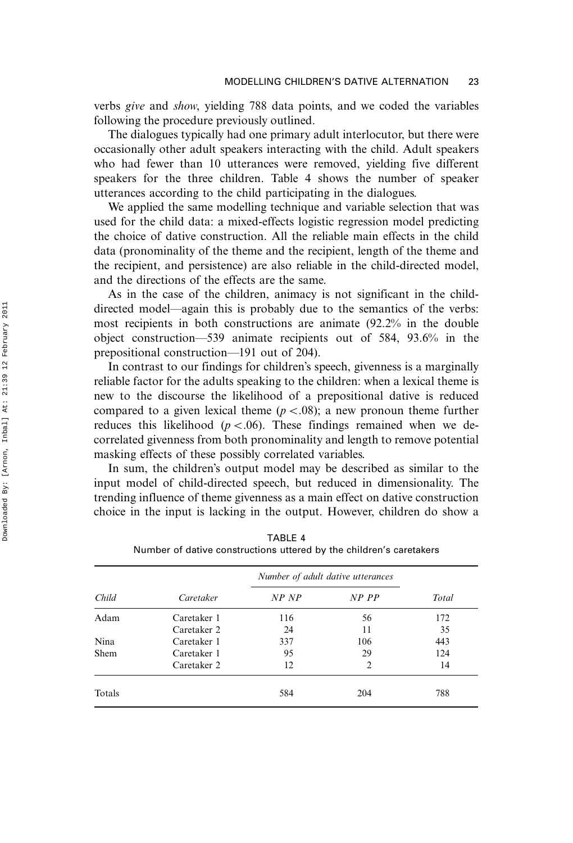verbs give and show, yielding 788 data points, and we coded the variables following the procedure previously outlined.

The dialogues typically had one primary adult interlocutor, but there were occasionally other adult speakers interacting with the child. Adult speakers who had fewer than 10 utterances were removed, yielding five different speakers for the three children. Table 4 shows the number of speaker utterances according to the child participating in the dialogues.

We applied the same modelling technique and variable selection that was used for the child data: a mixed-effects logistic regression model predicting the choice of dative construction. All the reliable main effects in the child data (pronominality of the theme and the recipient, length of the theme and the recipient, and persistence) are also reliable in the child-directed model, and the directions of the effects are the same.

As in the case of the children, animacy is not significant in the childdirected model—again this is probably due to the semantics of the verbs: most recipients in both constructions are animate (92.2% in the double object construction—539 animate recipients out of 584, 93.6% in the prepositional construction—191 out of 204).

In contrast to our findings for children's speech, givenness is a marginally reliable factor for the adults speaking to the children: when a lexical theme is new to the discourse the likelihood of a prepositional dative is reduced compared to a given lexical theme  $(p < .08)$ ; a new pronoun theme further reduces this likelihood ( $p < .06$ ). These findings remained when we decorrelated givenness from both pronominality and length to remove potential masking effects of these possibly correlated variables.

In sum, the children's output model may be described as similar to the input model of child-directed speech, but reduced in dimensionality. The trending influence of theme givenness as a main effect on dative construction choice in the input is lacking in the output. However, children do show a

|        |             |       | Number of adult dative utterances |       |  |
|--------|-------------|-------|-----------------------------------|-------|--|
| Child  | Caretaker   | NP NP | NP PP                             | Total |  |
| Adam   | Caretaker 1 | 116   | 56                                | 172   |  |
|        | Caretaker 2 | 24    | 11                                | 35    |  |
| Nina   | Caretaker 1 | 337   | 106                               | 443   |  |
| Shem   | Caretaker 1 | 95    | 29                                | 124   |  |
|        | Caretaker 2 | 12    | $\overline{2}$                    | 14    |  |
| Totals |             | 584   | 204                               | 788   |  |

TABLE 4 Number of dative constructions uttered by the children's caretakers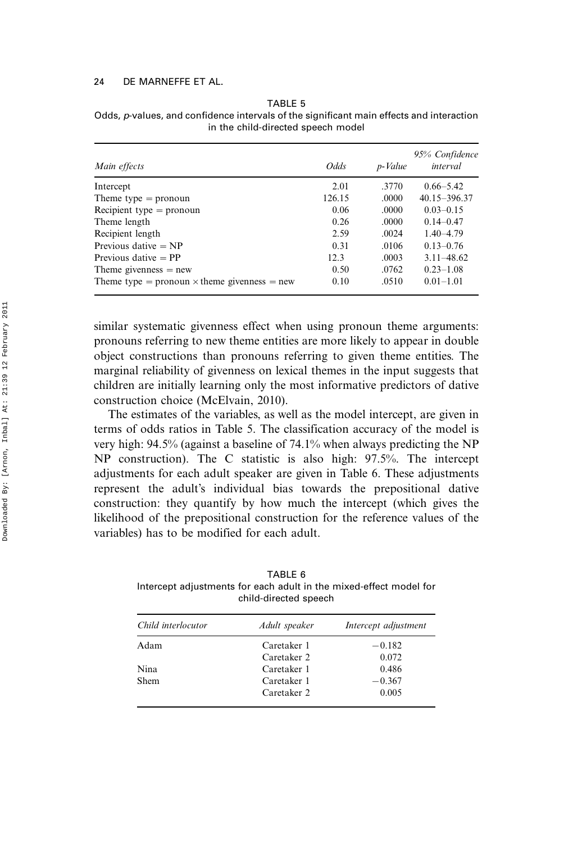| Main effects                                        | <i>Odds</i> | p-Value | 95% Confidence<br>interval |
|-----------------------------------------------------|-------------|---------|----------------------------|
| Intercept                                           | 2.01        | .3770   | $0.66 - 5.42$              |
| Theme type $=$ pronoun                              | 126.15      | .0000   | 40.15-396.37               |
| Recipient type $=$ pronoun                          | 0.06        | .0000   | $0.03 - 0.15$              |
| Theme length                                        | 0.26        | .0000   | $0.14 - 0.47$              |
| Recipient length                                    | 2.59        | .0024   | $1.40 - 4.79$              |
| Previous dative $= NP$                              | 0.31        | .0106   | $0.13 - 0.76$              |
| Previous dative $=$ PP                              | 12.3        | .0003   | $3.11 - 48.62$             |
| Theme givenness $=$ new                             | 0.50        | .0762   | $0.23 - 1.08$              |
| Theme type = pronoun $\times$ theme givenness = new | 0.10        | .0510   | $0.01 - 1.01$              |

TABLE 5 Odds, p-values, and confidence intervals of the significant main effects and interaction in the child-directed speech model

similar systematic givenness effect when using pronoun theme arguments: pronouns referring to new theme entities are more likely to appear in double object constructions than pronouns referring to given theme entities. The marginal reliability of givenness on lexical themes in the input suggests that children are initially learning only the most informative predictors of dative construction choice (McElvain, 2010).

The estimates of the variables, as well as the model intercept, are given in terms of odds ratios in Table 5. The classification accuracy of the model is very high: 94.5% (against a baseline of 74.1% when always predicting the NP NP construction). The C statistic is also high: 97.5%. The intercept adjustments for each adult speaker are given in Table 6. These adjustments represent the adult's individual bias towards the prepositional dative construction: they quantify by how much the intercept (which gives the likelihood of the prepositional construction for the reference values of the variables) has to be modified for each adult.

TABLE 6 Intercept adjustments for each adult in the mixed-effect model for child-directed speech

| Child interlocutor | Adult speaker | Intercept adjustment |
|--------------------|---------------|----------------------|
| Adam               | Caretaker 1   | $-0.182$             |
|                    | Caretaker 2   | 0.072                |
| Nina               | Caretaker 1   | 0.486                |
| <b>Shem</b>        | Caretaker 1   | $-0.367$             |
|                    | Caretaker 2   | 0.005                |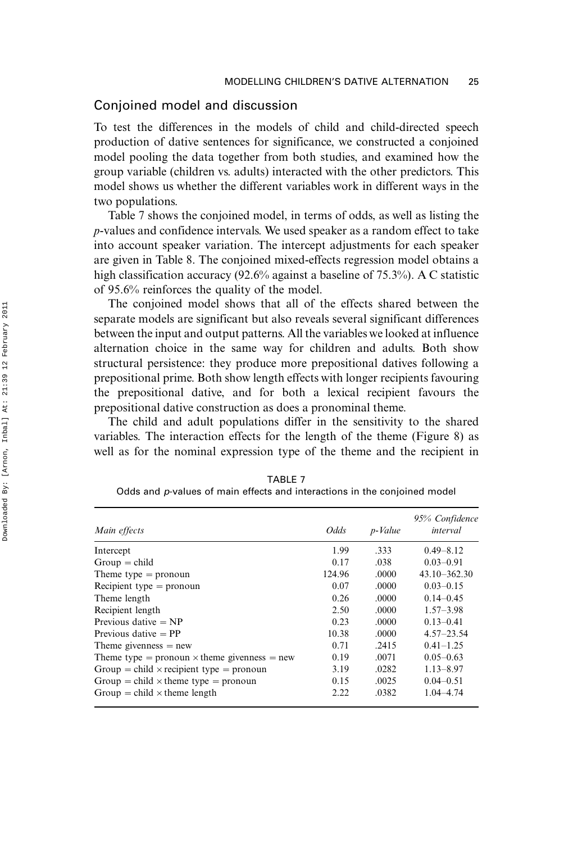### Conjoined model and discussion

To test the differences in the models of child and child-directed speech production of dative sentences for significance, we constructed a conjoined model pooling the data together from both studies, and examined how the group variable (children vs. adults) interacted with the other predictors. This model shows us whether the different variables work in different ways in the two populations.

Table 7 shows the conjoined model, in terms of odds, as well as listing the p-values and confidence intervals. We used speaker as a random effect to take into account speaker variation. The intercept adjustments for each speaker are given in Table 8. The conjoined mixed-effects regression model obtains a high classification accuracy (92.6% against a baseline of 75.3%). A C statistic of 95.6% reinforces the quality of the model.

The conjoined model shows that all of the effects shared between the separate models are significant but also reveals several significant differences between the input and output patterns. All the variables we looked at influence alternation choice in the same way for children and adults. Both show structural persistence: they produce more prepositional datives following a prepositional prime. Both show length effects with longer recipients favouring the prepositional dative, and for both a lexical recipient favours the prepositional dative construction as does a pronominal theme.

The child and adult populations differ in the sensitivity to the shared variables. The interaction effects for the length of the theme (Figure 8) as well as for the nominal expression type of the theme and the recipient in

| Main effects                                        | <i>Odds</i> | p-Value | 95% Confidence<br>interval |
|-----------------------------------------------------|-------------|---------|----------------------------|
| Intercept                                           | 1.99        | .333    | $0.49 - 8.12$              |
| $Group = child$                                     | 0.17        | .038    | $0.03 - 0.91$              |
| Theme type $=$ pronoun                              | 124.96      | .0000   | $43.10 - 362.30$           |
| Recipient type $=$ pronoun                          | 0.07        | .0000   | $0.03 - 0.15$              |
| Theme length                                        | 0.26        | .0000   | $0.14 - 0.45$              |
| Recipient length                                    | 2.50        | .0000   | $1.57 - 3.98$              |
| Previous dative $= NP$                              | 0.23        | .0000   | $0.13 - 0.41$              |
| Previous dative $=$ PP                              | 10.38       | .0000   | $4.57 - 23.54$             |
| Theme givenness $=$ new                             | 0.71        | .2415   | $0.41 - 1.25$              |
| Theme type = pronoun $\times$ theme givenness = new | 0.19        | .0071   | $0.05 - 0.63$              |
| Group = child $\times$ recipient type = pronoun     | 3.19        | .0282   | $1.13 - 8.97$              |
| Group = child $\times$ theme type = pronoun         | 0.15        | .0025   | $0.04 - 0.51$              |
| Group = child $\times$ theme length                 | 2.22        | .0382   | $1.04 - 4.74$              |

TABLE 7 Odds and p-values of main effects and interactions in the conjoined model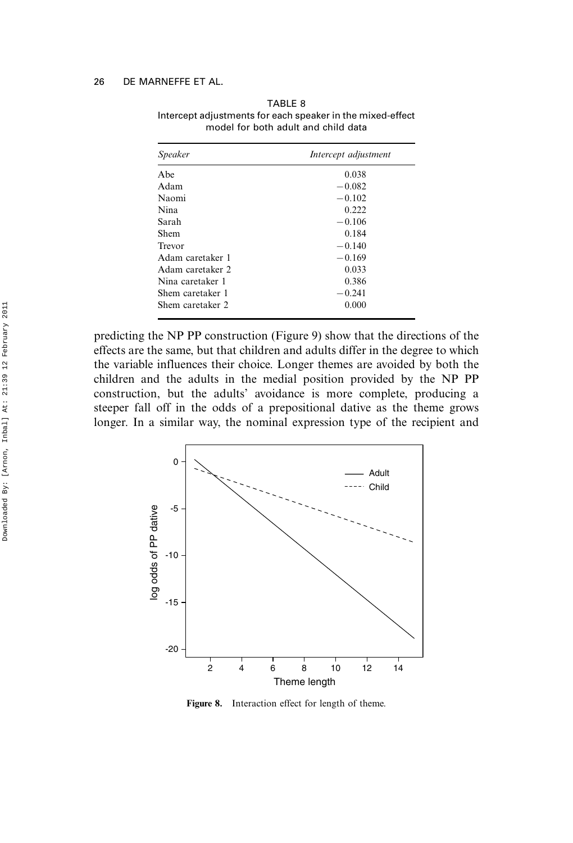| Speaker          | Intercept adjustment |
|------------------|----------------------|
| Abe              | 0.038                |
| Adam             | $-0.082$             |
| Naomi            | $-0.102$             |
| Nina             | 0.222                |
| Sarah            | $-0.106$             |
| Shem             | 0.184                |
| Trevor           | $-0.140$             |
| Adam caretaker 1 | $-0.169$             |
| Adam caretaker 2 | 0.033                |
| Nina caretaker 1 | 0.386                |
| Shem caretaker 1 | $-0.241$             |
| Shem caretaker 2 | 0.000                |
|                  |                      |

TABLE 8 Intercept adjustments for each speaker in the mixed-effect model for both adult and child data

predicting the NP PP construction (Figure 9) show that the directions of the effects are the same, but that children and adults differ in the degree to which the variable influences their choice. Longer themes are avoided by both the children and the adults in the medial position provided by the NP PP construction, but the adults' avoidance is more complete, producing a steeper fall off in the odds of a prepositional dative as the theme grows longer. In a similar way, the nominal expression type of the recipient and



Figure 8. Interaction effect for length of theme.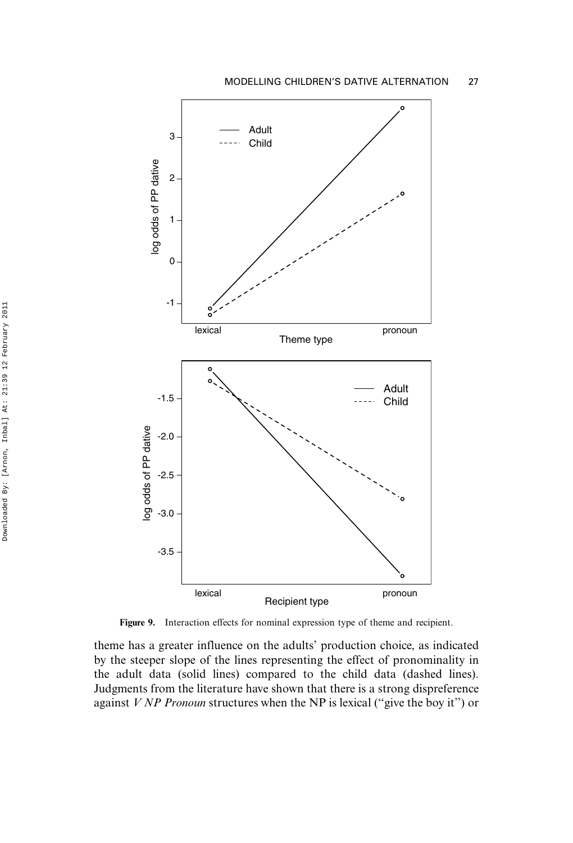

Figure 9. Interaction effects for nominal expression type of theme and recipient.

theme has a greater influence on the adults' production choice, as indicated by the steeper slope of the lines representing the effect of pronominality in the adult data (solid lines) compared to the child data (dashed lines). Judgments from the literature have shown that there is a strong dispreference against  $V NP$  Pronoun structures when the NP is lexical ("give the boy it") or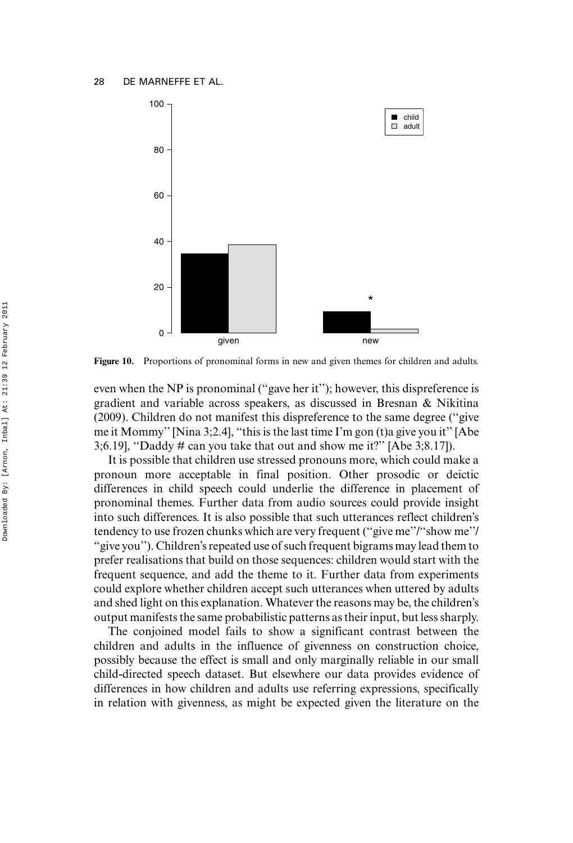

Figure 10. Proportions of pronominal forms in new and given themes for children and adults.

even when the NP is pronominal (''gave her it''); however, this dispreference is gradient and variable across speakers, as discussed in Bresnan & Nikitina (2009). Children do not manifest this dispreference to the same degree (''give me it Mommy'' [Nina 3;2.4], ''this is the last time I'm gon (t)a give you it'' [Abe 3;6.19], "Daddy # can you take that out and show me it?" [Abe 3;8.17]).

It is possible that children use stressed pronouns more, which could make a pronoun more acceptable in final position. Other prosodic or deictic differences in child speech could underlie the difference in placement of pronominal themes. Further data from audio sources could provide insight into such differences. It is also possible that such utterances reflect children's tendency to use frozen chunks which are very frequent (''give me''/''show me''/ ''give you''). Children's repeated use of such frequent bigrams may lead them to prefer realisations that build on those sequences: children would start with the frequent sequence, and add the theme to it. Further data from experiments could explore whether children accept such utterances when uttered by adults and shed light on this explanation. Whatever the reasons may be, the children's output manifests the same probabilistic patterns as their input, but less sharply.

The conjoined model fails to show a significant contrast between the children and adults in the influence of givenness on construction choice, possibly because the effect is small and only marginally reliable in our small child-directed speech dataset. But elsewhere our data provides evidence of differences in how children and adults use referring expressions, specifically in relation with givenness, as might be expected given the literature on the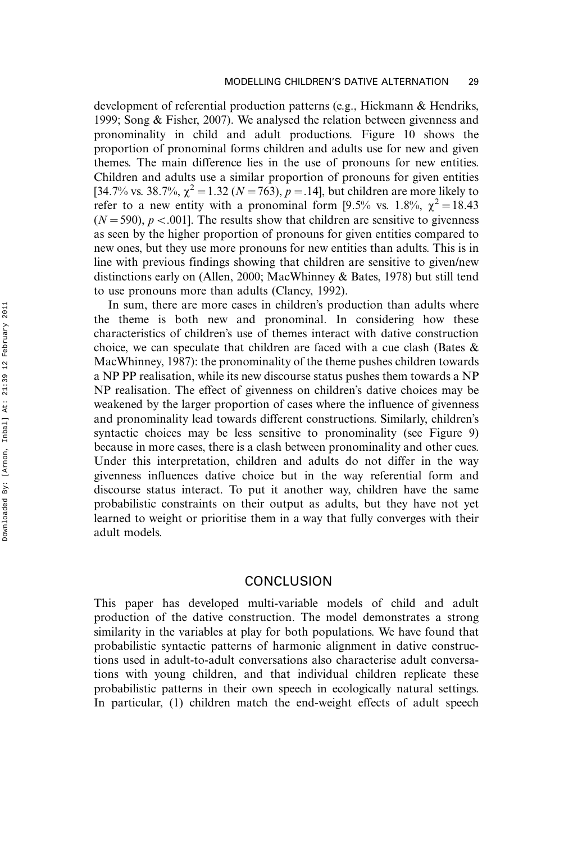development of referential production patterns (e.g., Hickmann & Hendriks, 1999; Song & Fisher, 2007). We analysed the relation between givenness and pronominality in child and adult productions. Figure 10 shows the proportion of pronominal forms children and adults use for new and given themes. The main difference lies in the use of pronouns for new entities. Children and adults use a similar proportion of pronouns for given entities [34.7% vs. 38.7%,  $\chi^2 = 1.32$  (N = 763), p = 1.4], but children are more likely to refer to a new entity with a pronominal form [9.5% vs. 1.8%,  $\chi^2 = 18.43$  $(N=590)$ ,  $p < .001$ . The results show that children are sensitive to givenness as seen by the higher proportion of pronouns for given entities compared to new ones, but they use more pronouns for new entities than adults. This is in line with previous findings showing that children are sensitive to given/new distinctions early on (Allen, 2000; MacWhinney & Bates, 1978) but still tend to use pronouns more than adults (Clancy, 1992).

In sum, there are more cases in children's production than adults where the theme is both new and pronominal. In considering how these characteristics of children's use of themes interact with dative construction choice, we can speculate that children are faced with a cue clash (Bates & MacWhinney, 1987): the pronominality of the theme pushes children towards a NP PP realisation, while its new discourse status pushes them towards a NP NP realisation. The effect of givenness on children's dative choices may be weakened by the larger proportion of cases where the influence of givenness and pronominality lead towards different constructions. Similarly, children's syntactic choices may be less sensitive to pronominality (see Figure 9) because in more cases, there is a clash between pronominality and other cues. Under this interpretation, children and adults do not differ in the way givenness influences dative choice but in the way referential form and discourse status interact. To put it another way, children have the same probabilistic constraints on their output as adults, but they have not yet learned to weight or prioritise them in a way that fully converges with their adult models.

### **CONCLUSION**

This paper has developed multi-variable models of child and adult production of the dative construction. The model demonstrates a strong similarity in the variables at play for both populations. We have found that probabilistic syntactic patterns of harmonic alignment in dative constructions used in adult-to-adult conversations also characterise adult conversations with young children, and that individual children replicate these probabilistic patterns in their own speech in ecologically natural settings. In particular, (1) children match the end-weight effects of adult speech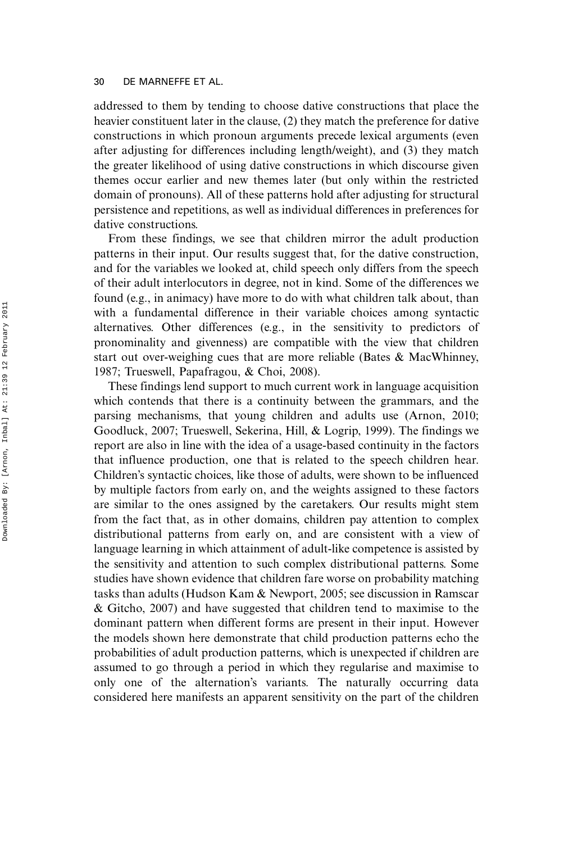addressed to them by tending to choose dative constructions that place the heavier constituent later in the clause, (2) they match the preference for dative constructions in which pronoun arguments precede lexical arguments (even after adjusting for differences including length/weight), and (3) they match the greater likelihood of using dative constructions in which discourse given themes occur earlier and new themes later (but only within the restricted domain of pronouns). All of these patterns hold after adjusting for structural persistence and repetitions, as well as individual differences in preferences for dative constructions.

From these findings, we see that children mirror the adult production patterns in their input. Our results suggest that, for the dative construction, and for the variables we looked at, child speech only differs from the speech of their adult interlocutors in degree, not in kind. Some of the differences we found (e.g., in animacy) have more to do with what children talk about, than with a fundamental difference in their variable choices among syntactic alternatives. Other differences (e.g., in the sensitivity to predictors of pronominality and givenness) are compatible with the view that children start out over-weighing cues that are more reliable (Bates & MacWhinney, 1987; Trueswell, Papafragou, & Choi, 2008).

These findings lend support to much current work in language acquisition which contends that there is a continuity between the grammars, and the parsing mechanisms, that young children and adults use (Arnon, 2010; Goodluck, 2007; Trueswell, Sekerina, Hill, & Logrip, 1999). The findings we report are also in line with the idea of a usage-based continuity in the factors that influence production, one that is related to the speech children hear. Children's syntactic choices, like those of adults, were shown to be influenced by multiple factors from early on, and the weights assigned to these factors are similar to the ones assigned by the caretakers. Our results might stem from the fact that, as in other domains, children pay attention to complex distributional patterns from early on, and are consistent with a view of language learning in which attainment of adult-like competence is assisted by the sensitivity and attention to such complex distributional patterns. Some studies have shown evidence that children fare worse on probability matching tasks than adults (Hudson Kam & Newport, 2005; see discussion in Ramscar & Gitcho, 2007) and have suggested that children tend to maximise to the dominant pattern when different forms are present in their input. However the models shown here demonstrate that child production patterns echo the probabilities of adult production patterns, which is unexpected if children are assumed to go through a period in which they regularise and maximise to only one of the alternation's variants. The naturally occurring data considered here manifests an apparent sensitivity on the part of the children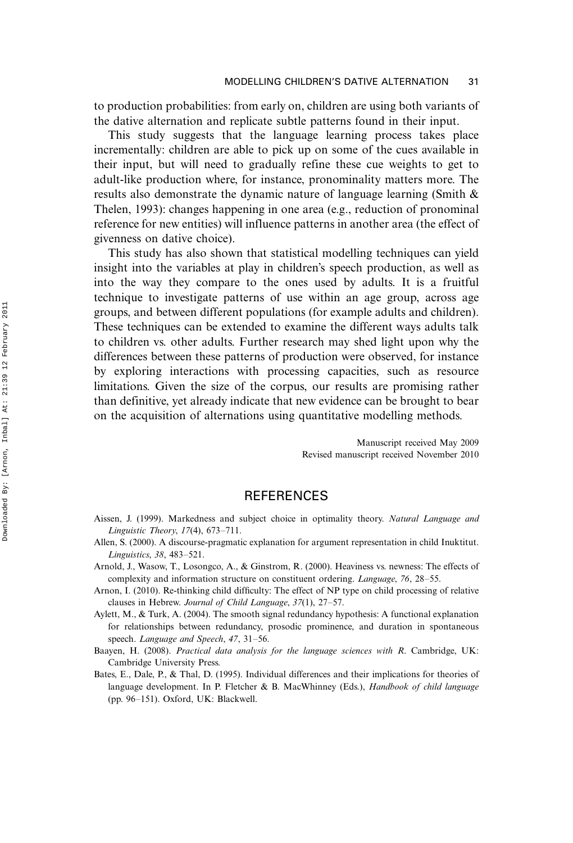to production probabilities: from early on, children are using both variants of the dative alternation and replicate subtle patterns found in their input.

This study suggests that the language learning process takes place incrementally: children are able to pick up on some of the cues available in their input, but will need to gradually refine these cue weights to get to adult-like production where, for instance, pronominality matters more. The results also demonstrate the dynamic nature of language learning (Smith & Thelen, 1993): changes happening in one area (e.g., reduction of pronominal reference for new entities) will influence patterns in another area (the effect of givenness on dative choice).

This study has also shown that statistical modelling techniques can yield insight into the variables at play in children's speech production, as well as into the way they compare to the ones used by adults. It is a fruitful technique to investigate patterns of use within an age group, across age groups, and between different populations (for example adults and children). These techniques can be extended to examine the different ways adults talk to children vs. other adults. Further research may shed light upon why the differences between these patterns of production were observed, for instance by exploring interactions with processing capacities, such as resource limitations. Given the size of the corpus, our results are promising rather than definitive, yet already indicate that new evidence can be brought to bear on the acquisition of alternations using quantitative modelling methods.

> Manuscript received May 2009 Revised manuscript received November 2010

# **REFERENCES**

- Aissen, J. (1999). Markedness and subject choice in optimality theory. Natural Language and Linguistic Theory,  $17(4)$ ,  $673-711$ .
- Allen, S. (2000). A discourse-pragmatic explanation for argument representation in child Inuktitut. Linguistics, 38, 483-521.
- Arnold, J., Wasow, T., Losongco, A., & Ginstrom, R. (2000). Heaviness vs. newness: The effects of complexity and information structure on constituent ordering. *Language*, 76, 28–55.
- Arnon, I. (2010). Re-thinking child difficulty: The effect of NP type on child processing of relative clauses in Hebrew. Journal of Child Language,  $37(1)$ ,  $27-57$ .
- Aylett, M., & Turk, A. (2004). The smooth signal redundancy hypothesis: A functional explanation for relationships between redundancy, prosodic prominence, and duration in spontaneous speech. Language and Speech, 47, 31-56.
- Baayen, H. (2008). Practical data analysis for the language sciences with R. Cambridge, UK: Cambridge University Press.
- Bates, E., Dale, P., & Thal, D. (1995). Individual differences and their implications for theories of language development. In P. Fletcher & B. MacWhinney (Eds.), *Handbook of child language* (pp.  $96-151$ ). Oxford, UK: Blackwell.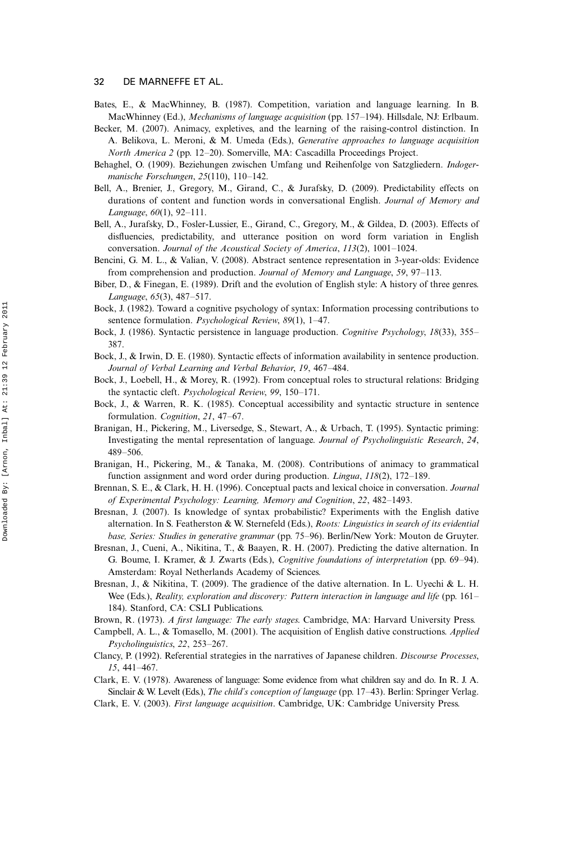- Bates, E., & MacWhinney, B. (1987). Competition, variation and language learning. In B. MacWhinney (Ed.), Mechanisms of language acquisition (pp. 157-194). Hillsdale, NJ: Erlbaum.
- Becker, M. (2007). Animacy, expletives, and the learning of the raising-control distinction. In A. Belikova, L. Meroni, & M. Umeda (Eds.), Generative approaches to language acquisition North America 2 (pp. 12-20). Somerville, MA: Cascadilla Proceedings Project.
- Behaghel, O. (1909). Beziehungen zwischen Umfang und Reihenfolge von Satzgliedern. Indogermanische Forschungen,  $25(110)$ ,  $110-142$ .
- Bell, A., Brenier, J., Gregory, M., Girand, C., & Jurafsky, D. (2009). Predictability effects on durations of content and function words in conversational English. Journal of Memory and Language,  $60(1)$ ,  $92-111$ .
- Bell, A., Jurafsky, D., Fosler-Lussier, E., Girand, C., Gregory, M., & Gildea, D. (2003). Effects of disfluencies, predictability, and utterance position on word form variation in English conversation. Journal of the Acoustical Society of America, 113(2), 1001-1024.
- Bencini, G. M. L., & Valian, V. (2008). Abstract sentence representation in 3-year-olds: Evidence from comprehension and production. Journal of Memory and Language, 59, 97–113.
- Biber, D., & Finegan, E. (1989). Drift and the evolution of English style: A history of three genres. Language, 65(3), 487-517.
- Bock, J. (1982). Toward a cognitive psychology of syntax: Information processing contributions to sentence formulation. *Psychological Review*, 89(1), 1-47.
- Bock, J. (1986). Syntactic persistence in language production. Cognitive Psychology, 18(33), 355– 387.
- Bock, J., & Irwin, D. E. (1980). Syntactic effects of information availability in sentence production. Journal of Verbal Learning and Verbal Behavior, 19, 467–484.
- Bock, J., Loebell, H., & Morey, R. (1992). From conceptual roles to structural relations: Bridging the syntactic cleft. Psychological Review, 99, 150-171.
- Bock, J., & Warren, R. K. (1985). Conceptual accessibility and syntactic structure in sentence formulation. Cognition, 21, 47-67.
- Branigan, H., Pickering, M., Liversedge, S., Stewart, A., & Urbach, T. (1995). Syntactic priming: Investigating the mental representation of language. Journal of Psycholinguistic Research, 24, 489-506
- Branigan, H., Pickering, M., & Tanaka, M. (2008). Contributions of animacy to grammatical function assignment and word order during production. Lingua, 118(2), 172-189.
- Brennan, S. E., & Clark, H. H. (1996). Conceptual pacts and lexical choice in conversation. Journal of Experimental Psychology: Learning, Memory and Cognition, 22, 482-1493.
- Bresnan, J. (2007). Is knowledge of syntax probabilistic? Experiments with the English dative alternation. In S. Featherston & W. Sternefeld (Eds.), Roots: Linguistics in search of its evidential base, Series: Studies in generative grammar (pp. 75-96). Berlin/New York: Mouton de Gruyter.
- Bresnan, J., Cueni, A., Nikitina, T., & Baayen, R. H. (2007). Predicting the dative alternation. In G. Boume, I. Kramer, & J. Zwarts (Eds.), *Cognitive foundations of interpretation* (pp. 69–94). Amsterdam: Royal Netherlands Academy of Sciences.
- Bresnan, J., & Nikitina, T. (2009). The gradience of the dative alternation. In L. Uyechi & L. H. Wee (Eds.), Reality, exploration and discovery: Pattern interaction in language and life (pp. 161– 184). Stanford, CA: CSLI Publications.
- Brown, R. (1973). A first language: The early stages. Cambridge, MA: Harvard University Press.
- Campbell, A. L., & Tomasello, M. (2001). The acquisition of English dative constructions. Applied Psycholinguistics, 22, 253-267.
- Clancy, P. (1992). Referential strategies in the narratives of Japanese children. Discourse Processes,  $15.441 - 467.$
- Clark, E. V. (1978). Awareness of language: Some evidence from what children say and do. In R. J. A. Sinclair & W. Levelt (Eds.), *The child's conception of language* (pp. 17–43). Berlin: Springer Verlag.
- Clark, E. V. (2003). First language acquisition. Cambridge, UK: Cambridge University Press.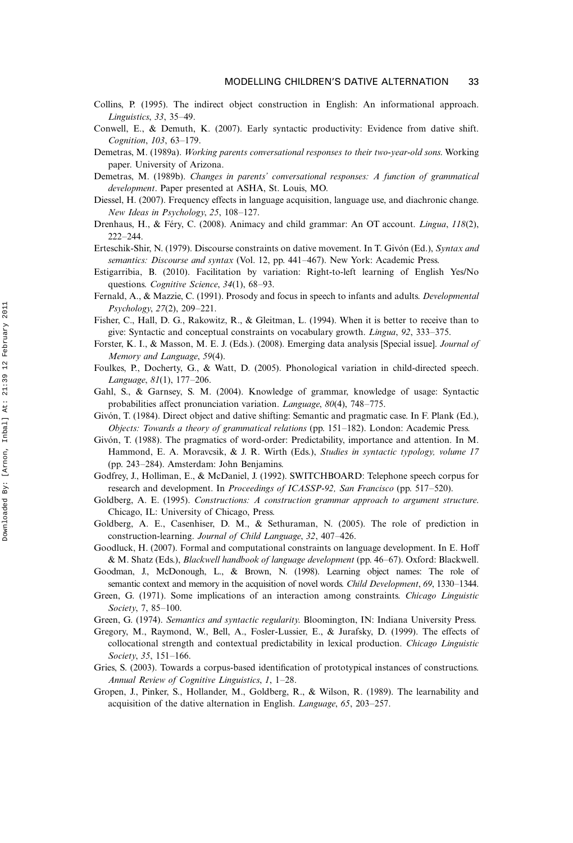- Collins, P. (1995). The indirect object construction in English: An informational approach. Linguistics, 33, 3549.
- Conwell, E., & Demuth, K. (2007). Early syntactic productivity: Evidence from dative shift. Cognition, 103, 63-179.
- Demetras, M. (1989a). Working parents conversational responses to their two-year-old sons. Working paper. University of Arizona.
- Demetras, M. (1989b). Changes in parents' conversational responses: A function of grammatical development. Paper presented at ASHA, St. Louis, MO.
- Diessel, H. (2007). Frequency effects in language acquisition, language use, and diachronic change. New Ideas in Psychology, 25, 108-127.
- Drenhaus, H., & Féry, C. (2008). Animacy and child grammar: An OT account. *Lingua, 118(2)*,  $222 - 244$ .
- Erteschik-Shir, N. (1979). Discourse constraints on dative movement. In T. Givón (Ed.), Syntax and semantics: Discourse and syntax (Vol. 12, pp. 441-467). New York: Academic Press.
- Estigarribia, B. (2010). Facilitation by variation: Right-to-left learning of English Yes/No questions. Cognitive Science, 34(1), 68-93.
- Fernald, A., & Mazzie, C. (1991). Prosody and focus in speech to infants and adults. Developmental  $Psychology, 27(2), 209-221.$
- Fisher, C., Hall, D. G., Rakowitz, R., & Gleitman, L. (1994). When it is better to receive than to give: Syntactic and conceptual constraints on vocabulary growth. *Lingua*, 92, 333–375.
- Forster, K. I., & Masson, M. E. J. (Eds.). (2008). Emerging data analysis [Special issue]. Journal of Memory and Language, 59(4).
- Foulkes, P., Docherty, G., & Watt, D. (2005). Phonological variation in child-directed speech. Language, 81(1), 177-206.
- Gahl, S., & Garnsey, S. M. (2004). Knowledge of grammar, knowledge of usage: Syntactic probabilities affect pronunciation variation. Language, 80(4), 748-775.
- Givón, T. (1984). Direct object and dative shifting: Semantic and pragmatic case. In F. Plank (Ed.), Objects: Towards a theory of grammatical relations (pp.  $151-182$ ). London: Academic Press.
- Givón, T. (1988). The pragmatics of word-order: Predictability, importance and attention. In M. Hammond, E. A. Moravcsik, & J. R. Wirth (Eds.), Studies in syntactic typology, volume 17 (pp.  $243-284$ ). Amsterdam: John Benjamins.
- Godfrey, J., Holliman, E., & McDaniel, J. (1992). SWITCHBOARD: Telephone speech corpus for research and development. In Proceedings of ICASSP-92, San Francisco (pp. 517-520).
- Goldberg, A. E. (1995). Constructions: A construction grammar approach to argument structure. Chicago, IL: University of Chicago, Press.
- Goldberg, A. E., Casenhiser, D. M., & Sethuraman, N. (2005). The role of prediction in construction-learning. Journal of Child Language, 32, 407-426.
- Goodluck, H. (2007). Formal and computational constraints on language development. In E. Hoff & M. Shatz (Eds.), Blackwell handbook of language development (pp. 46-67). Oxford: Blackwell.
- Goodman, J., McDonough, L., & Brown, N. (1998). Learning object names: The role of semantic context and memory in the acquisition of novel words. Child Development, 69, 1330–1344.
- Green, G. (1971). Some implications of an interaction among constraints. Chicago Linguistic Society, 7, 85-100.
- Green, G. (1974). Semantics and syntactic regularity. Bloomington, IN: Indiana University Press.
- Gregory, M., Raymond, W., Bell, A., Fosler-Lussier, E., & Jurafsky, D. (1999). The effects of collocational strength and contextual predictability in lexical production. Chicago Linguistic Society, 35, 151-166.
- Gries, S. (2003). Towards a corpus-based identification of prototypical instances of constructions. Annual Review of Cognitive Linguistics, 1, 1-28.
- Gropen, J., Pinker, S., Hollander, M., Goldberg, R., & Wilson, R. (1989). The learnability and acquisition of the dative alternation in English. Language, 65, 203-257.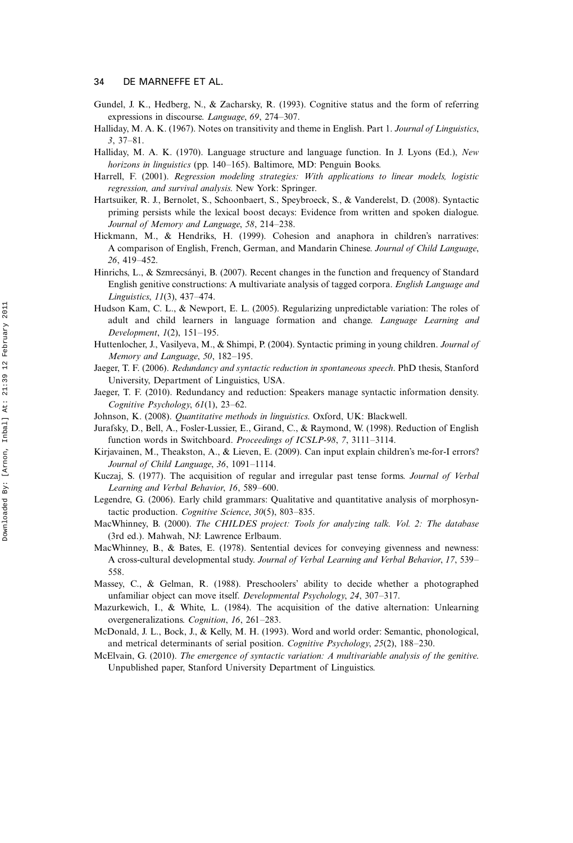- Gundel, J. K., Hedberg, N., & Zacharsky, R. (1993). Cognitive status and the form of referring expressions in discourse. Language, 69, 274-307.
- Halliday, M. A. K. (1967). Notes on transitivity and theme in English. Part 1. Journal of Linguistics,  $3, 37 - 81.$
- Halliday, M. A. K. (1970). Language structure and language function. In J. Lyons (Ed.), New horizons in linguistics (pp.  $140-165$ ). Baltimore, MD: Penguin Books.
- Harrell, F. (2001). Regression modeling strategies: With applications to linear models, logistic regression, and survival analysis. New York: Springer.
- Hartsuiker, R. J., Bernolet, S., Schoonbaert, S., Speybroeck, S., & Vanderelst, D. (2008). Syntactic priming persists while the lexical boost decays: Evidence from written and spoken dialogue. Journal of Memory and Language, 58, 214-238.
- Hickmann, M., & Hendriks, H. (1999). Cohesion and anaphora in children's narratives: A comparison of English, French, German, and Mandarin Chinese. Journal of Child Language, 26, 419-452.
- Hinrichs, L., & Szmrecsányi, B. (2007). Recent changes in the function and frequency of Standard English genitive constructions: A multivariate analysis of tagged corpora. English Language and Linguistics,  $11(3)$ , 437-474.
- Hudson Kam, C. L., & Newport, E. L. (2005). Regularizing unpredictable variation: The roles of adult and child learners in language formation and change. Language Learning and Development,  $1(2)$ ,  $151-195$ .
- Huttenlocher, J., Vasilyeva, M., & Shimpi, P. (2004). Syntactic priming in young children. Journal of Memory and Language, 50, 182-195.
- Jaeger, T. F. (2006). Redundancy and syntactic reduction in spontaneous speech. PhD thesis, Stanford University, Department of Linguistics, USA.
- Jaeger, T. F. (2010). Redundancy and reduction: Speakers manage syntactic information density. Cognitive Psychology,  $61(1)$ ,  $23-62$ .
- Johnson, K. (2008). Quantitative methods in linguistics. Oxford, UK: Blackwell.
- Jurafsky, D., Bell, A., Fosler-Lussier, E., Girand, C., & Raymond, W. (1998). Reduction of English function words in Switchboard. Proceedings of ICSLP-98, 7, 3111-3114.
- Kirjavainen, M., Theakston, A., & Lieven, E. (2009). Can input explain children's me-for-I errors? Journal of Child Language, 36, 1091-1114.
- Kuczaj, S. (1977). The acquisition of regular and irregular past tense forms. Journal of Verbal Learning and Verbal Behavior, 16, 589-600.
- Legendre, G. (2006). Early child grammars: Qualitative and quantitative analysis of morphosyntactic production. Cognitive Science,  $30(5)$ , 803-835.
- MacWhinney, B. (2000). The CHILDES project: Tools for analyzing talk. Vol. 2: The database (3rd ed.). Mahwah, NJ: Lawrence Erlbaum.
- MacWhinney, B., & Bates, E. (1978). Sentential devices for conveying givenness and newness: A cross-cultural developmental study. Journal of Verbal Learning and Verbal Behavior, 17, 539 558.
- Massey, C., & Gelman, R. (1988). Preschoolers' ability to decide whether a photographed unfamiliar object can move itself. Developmental Psychology, 24, 307-317.
- Mazurkewich, I., & White, L. (1984). The acquisition of the dative alternation: Unlearning overgeneralizations. Cognition, 16, 261-283.
- McDonald, J. L., Bock, J., & Kelly, M. H. (1993). Word and world order: Semantic, phonological, and metrical determinants of serial position. Cognitive Psychology,  $25(2)$ , 188–230.
- McElvain, G. (2010). The emergence of syntactic variation: A multivariable analysis of the genitive. Unpublished paper, Stanford University Department of Linguistics.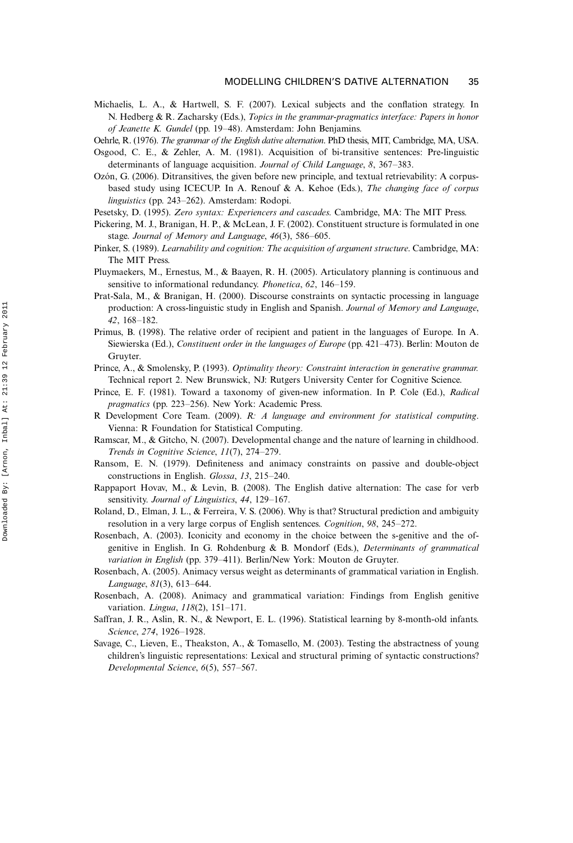Michaelis, L. A., & Hartwell, S. F. (2007). Lexical subjects and the conflation strategy. In N. Hedberg & R. Zacharsky (Eds.), Topics in the grammar-pragmatics interface: Papers in honor of Jeanette K. Gundel (pp. 1948). Amsterdam: John Benjamins.

Oehrle, R. (1976). The grammar of the English dative alternation. PhD thesis, MIT, Cambridge, MA, USA.

- Osgood, C. E., & Zehler, A. M. (1981). Acquisition of bi-transitive sentences: Pre-linguistic determinants of language acquisition. Journal of Child Language, 8, 367–383.
- Ozón, G. (2006). Ditransitives, the given before new principle, and textual retrievability: A corpusbased study using ICECUP. In A. Renouf & A. Kehoe (Eds.), The changing face of corpus linguistics (pp. 243–262). Amsterdam: Rodopi.
- Pesetsky, D. (1995). Zero syntax: Experiencers and cascades. Cambridge, MA: The MIT Press.
- Pickering, M. J., Branigan, H. P., & McLean, J. F. (2002). Constituent structure is formulated in one stage. Journal of Memory and Language, 46(3), 586-605.
- Pinker, S. (1989). Learnability and cognition: The acquisition of argument structure. Cambridge, MA: The MIT Press.
- Pluymaekers, M., Ernestus, M., & Baayen, R. H. (2005). Articulatory planning is continuous and sensitive to informational redundancy. *Phonetica*, 62, 146–159.
- Prat-Sala, M., & Branigan, H. (2000). Discourse constraints on syntactic processing in language production: A cross-linguistic study in English and Spanish. Journal of Memory and Language, 42, 168-182.
- Primus, B. (1998). The relative order of recipient and patient in the languages of Europe. In A. Siewierska (Ed.), Constituent order in the languages of Europe (pp. 421–473). Berlin: Mouton de Gruyter.
- Prince, A., & Smolensky, P. (1993). Optimality theory: Constraint interaction in generative grammar. Technical report 2. New Brunswick, NJ: Rutgers University Center for Cognitive Science.
- Prince, E. F. (1981). Toward a taxonomy of given-new information. In P. Cole (Ed.), Radical pragmatics (pp. 223–256). New York: Academic Press.
- R Development Core Team. (2009). R: A language and environment for statistical computing. Vienna: R Foundation for Statistical Computing.
- Ramscar, M., & Gitcho, N. (2007). Developmental change and the nature of learning in childhood. Trends in Cognitive Science,  $11(7)$ ,  $274-279$ .
- Ransom, E. N. (1979). Definiteness and animacy constraints on passive and double-object constructions in English. Glossa, 13, 215-240.
- Rappaport Hovav, M., & Levin, B. (2008). The English dative alternation: The case for verb sensitivity. Journal of Linguistics, 44, 129-167.
- Roland, D., Elman, J. L., & Ferreira, V. S. (2006). Why is that? Structural prediction and ambiguity resolution in a very large corpus of English sentences. Cognition, 98, 245–272.
- Rosenbach, A. (2003). Iconicity and economy in the choice between the s-genitive and the ofgenitive in English. In G. Rohdenburg & B. Mondorf (Eds.), Determinants of grammatical variation in English (pp. 379-411). Berlin/New York: Mouton de Gruyter.
- Rosenbach, A. (2005). Animacy versus weight as determinants of grammatical variation in English. Language, 81(3), 613-644.
- Rosenbach, A. (2008). Animacy and grammatical variation: Findings from English genitive variation. *Lingua*,  $118(2)$ ,  $151-171$ .
- Saffran, J. R., Aslin, R. N., & Newport, E. L. (1996). Statistical learning by 8-month-old infants. Science, 274, 1926-1928.
- Savage, C., Lieven, E., Theakston, A., & Tomasello, M. (2003). Testing the abstractness of young children's linguistic representations: Lexical and structural priming of syntactic constructions? Developmental Science, 6(5), 557-567.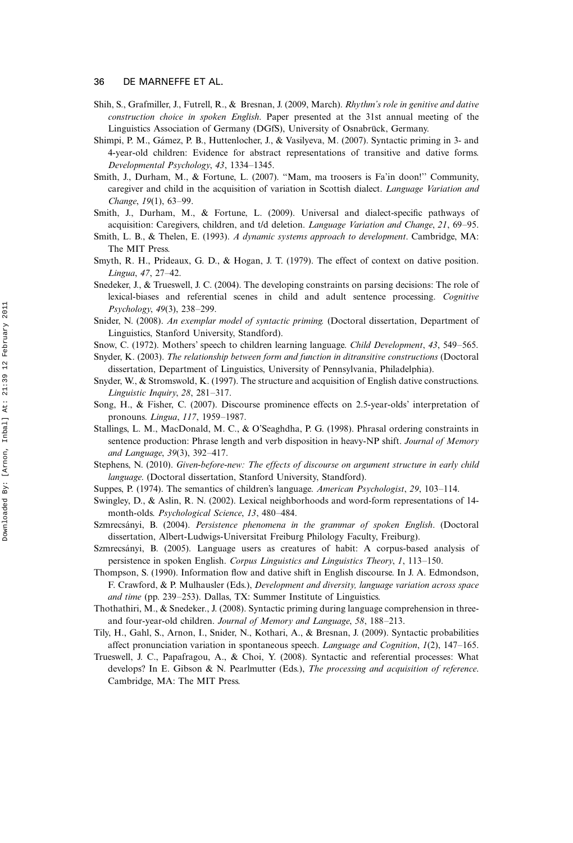- Shih, S., Grafmiller, J., Futrell, R., & Bresnan, J. (2009, March). Rhythm's role in genitive and dative construction choice in spoken English. Paper presented at the 31st annual meeting of the Linguistics Association of Germany (DGfS), University of Osnabrück, Germany.
- Shimpi, P. M., Gámez, P. B., Huttenlocher, J., & Vasilyeva, M. (2007). Syntactic priming in 3- and 4-year-old children: Evidence for abstract representations of transitive and dative forms. Developmental Psychology, 43, 1334-1345.
- Smith, J., Durham, M., & Fortune, L. (2007). ''Mam, ma troosers is Fa'in doon!'' Community, caregiver and child in the acquisition of variation in Scottish dialect. Language Variation and Change, 19(1), 63-99.
- Smith, J., Durham, M., & Fortune, L. (2009). Universal and dialect-specific pathways of acquisition: Caregivers, children, and t/d deletion. *Language Variation and Change, 21, 69–95.*
- Smith, L. B., & Thelen, E. (1993). A dynamic systems approach to development. Cambridge, MA: The MIT Press.
- Smyth, R. H., Prideaux, G. D., & Hogan, J. T. (1979). The effect of context on dative position. Lingua, 47, 27-42.
- Snedeker, J., & Trueswell, J. C. (2004). The developing constraints on parsing decisions: The role of lexical-biases and referential scenes in child and adult sentence processing. Cognitive  $Psychology, 49(3), 238-299.$
- Snider, N. (2008). An exemplar model of syntactic priming. (Doctoral dissertation, Department of Linguistics, Stanford University, Standford).
- Snow, C. (1972). Mothers' speech to children learning language. *Child Development*, 43, 549–565.
- Snyder, K. (2003). The relationship between form and function in ditransitive constructions (Doctoral dissertation, Department of Linguistics, University of Pennsylvania, Philadelphia).
- Snyder, W., & Stromswold, K. (1997). The structure and acquisition of English dative constructions. Linguistic Inquiry, 28, 281-317.
- Song, H., & Fisher, C. (2007). Discourse prominence effects on 2.5-year-olds' interpretation of pronouns. Lingua, 117, 1959-1987.
- Stallings, L. M., MacDonald, M. C., & O'Seaghdha, P. G. (1998). Phrasal ordering constraints in sentence production: Phrase length and verb disposition in heavy-NP shift. Journal of Memory and Language, 39(3), 392-417.
- Stephens, N. (2010). Given-before-new: The effects of discourse on argument structure in early child language. (Doctoral dissertation, Stanford University, Standford).
- Suppes, P. (1974). The semantics of children's language. American Psychologist, 29, 103–114.
- Swingley, D., & Aslin, R. N. (2002). Lexical neighborhoods and word-form representations of 14 month-olds. Psychological Science, 13, 480-484.
- Szmrecsányi, B. (2004). Persistence phenomena in the grammar of spoken English. (Doctoral dissertation, Albert-Ludwigs-Universitat Freiburg Philology Faculty, Freiburg).
- Szmrecsa´nyi, B. (2005). Language users as creatures of habit: A corpus-based analysis of persistence in spoken English. Corpus Linguistics and Linguistics Theory,  $1$ , 113–150.
- Thompson, S. (1990). Information flow and dative shift in English discourse. In J. A. Edmondson, F. Crawford, & P. Mulhausler (Eds.), Development and diversity, language variation across space and time (pp.  $239-253$ ). Dallas, TX: Summer Institute of Linguistics.
- Thothathiri, M., & Snedeker., J. (2008). Syntactic priming during language comprehension in threeand four-year-old children. Journal of Memory and Language, 58, 188-213.
- Tily, H., Gahl, S., Arnon, I., Snider, N., Kothari, A., & Bresnan, J. (2009). Syntactic probabilities affect pronunciation variation in spontaneous speech. Language and Cognition,  $I(2)$ , 147–165.
- Trueswell, J. C., Papafragou, A., & Choi, Y. (2008). Syntactic and referential processes: What develops? In E. Gibson & N. Pearlmutter (Eds.), The processing and acquisition of reference. Cambridge, MA: The MIT Press.